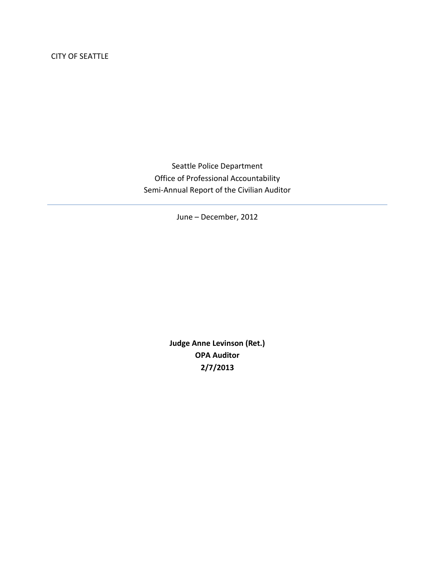CITY OF SEATTLE

Seattle Police Department Office of Professional Accountability Semi-Annual Report of the Civilian Auditor

June – December, 2012

**Judge Anne Levinson (Ret.) OPA Auditor 2/7/2013**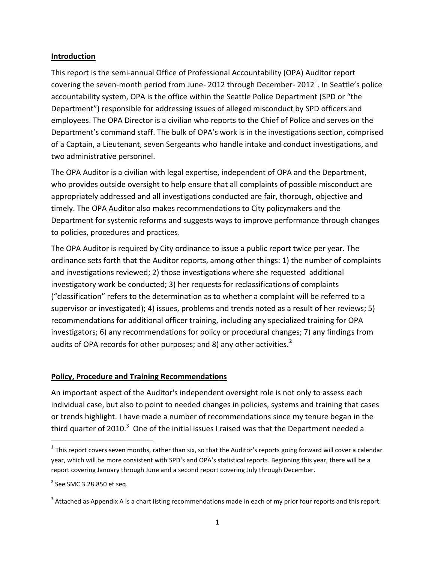#### **Introduction**

This report is the semi-annual Office of Professional Accountability (OPA) Auditor report covering the seven-month period from June- 2012 through December- 2012<sup>1</sup>. In Seattle's police accountability system, OPA is the office within the Seattle Police Department (SPD or "the Department") responsible for addressing issues of alleged misconduct by SPD officers and employees. The OPA Director is a civilian who reports to the Chief of Police and serves on the Department's command staff. The bulk of OPA's work is in the investigations section, comprised of a Captain, a Lieutenant, seven Sergeants who handle intake and conduct investigations, and two administrative personnel.

The OPA Auditor is a civilian with legal expertise, independent of OPA and the Department, who provides outside oversight to help ensure that all complaints of possible misconduct are appropriately addressed and all investigations conducted are fair, thorough, objective and timely. The OPA Auditor also makes recommendations to City policymakers and the Department for systemic reforms and suggests ways to improve performance through changes to policies, procedures and practices.

The OPA Auditor is required by City ordinance to issue a public report twice per year. The ordinance sets forth that the Auditor reports, among other things: 1) the number of complaints and investigations reviewed; 2) those investigations where she requested additional investigatory work be conducted; 3) her requests for reclassifications of complaints ("classification" refers to the determination as to whether a complaint will be referred to a supervisor or investigated); 4) issues, problems and trends noted as a result of her reviews; 5) recommendations for additional officer training, including any specialized training for OPA investigators; 6) any recommendations for policy or procedural changes; 7) any findings from audits of OPA records for other purposes; and 8) any other activities. $2^2$ 

## **Policy, Procedure and Training Recommendations**

An important aspect of the Auditor's independent oversight role is not only to assess each individual case, but also to point to needed changes in policies, systems and training that cases or trends highlight. I have made a number of recommendations since my tenure began in the third quarter of 2010.<sup>3</sup> One of the initial issues I raised was that the Department needed a

 $\overline{\phantom{a}}$ 

 $^1$  This report covers seven months, rather than six, so that the Auditor's reports going forward will cover a calendar year, which will be more consistent with SPD's and OPA's statistical reports. Beginning this year, there will be a report covering January through June and a second report covering July through December.

 $2$  See SMC 3.28.850 et seq.

 $3$  Attached as Appendix A is a chart listing recommendations made in each of my prior four reports and this report.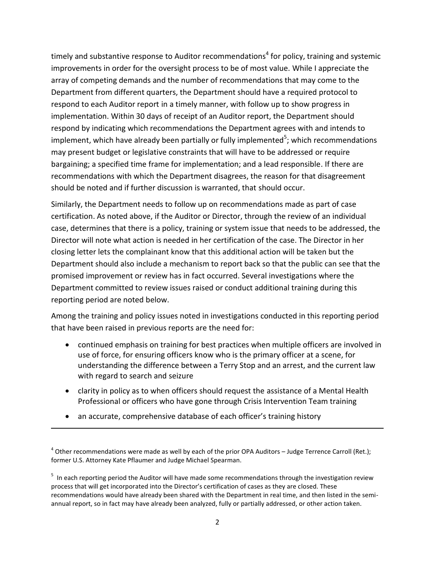timely and substantive response to Auditor recommendations<sup>4</sup> for policy, training and systemic improvements in order for the oversight process to be of most value. While I appreciate the array of competing demands and the number of recommendations that may come to the Department from different quarters, the Department should have a required protocol to respond to each Auditor report in a timely manner, with follow up to show progress in implementation. Within 30 days of receipt of an Auditor report, the Department should respond by indicating which recommendations the Department agrees with and intends to implement, which have already been partially or fully implemented<sup>5</sup>; which recommendations may present budget or legislative constraints that will have to be addressed or require bargaining; a specified time frame for implementation; and a lead responsible. If there are recommendations with which the Department disagrees, the reason for that disagreement should be noted and if further discussion is warranted, that should occur.

Similarly, the Department needs to follow up on recommendations made as part of case certification. As noted above, if the Auditor or Director, through the review of an individual case, determines that there is a policy, training or system issue that needs to be addressed, the Director will note what action is needed in her certification of the case. The Director in her closing letter lets the complainant know that this additional action will be taken but the Department should also include a mechanism to report back so that the public can see that the promised improvement or review has in fact occurred. Several investigations where the Department committed to review issues raised or conduct additional training during this reporting period are noted below.

Among the training and policy issues noted in investigations conducted in this reporting period that have been raised in previous reports are the need for:

- continued emphasis on training for best practices when multiple officers are involved in use of force, for ensuring officers know who is the primary officer at a scene, for understanding the difference between a Terry Stop and an arrest, and the current law with regard to search and seizure
- clarity in policy as to when officers should request the assistance of a Mental Health Professional or officers who have gone through Crisis Intervention Team training
- an accurate, comprehensive database of each officer's training history

 $\overline{\phantom{a}}$ 

 $^4$  Other recommendations were made as well by each of the prior OPA Auditors – Judge Terrence Carroll (Ret.); former U.S. Attorney Kate Pflaumer and Judge Michael Spearman.

<sup>&</sup>lt;sup>5</sup> In each reporting period the Auditor will have made some recommendations through the investigation review process that will get incorporated into the Director's certification of cases as they are closed. These recommendations would have already been shared with the Department in real time, and then listed in the semiannual report, so in fact may have already been analyzed, fully or partially addressed, or other action taken.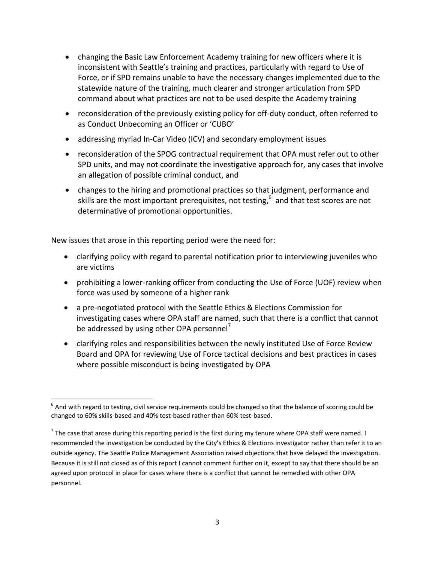- changing the Basic Law Enforcement Academy training for new officers where it is inconsistent with Seattle's training and practices, particularly with regard to Use of Force, or if SPD remains unable to have the necessary changes implemented due to the statewide nature of the training, much clearer and stronger articulation from SPD command about what practices are not to be used despite the Academy training
- reconsideration of the previously existing policy for off-duty conduct, often referred to as Conduct Unbecoming an Officer or 'CUBO'
- addressing myriad In-Car Video (ICV) and secondary employment issues
- reconsideration of the SPOG contractual requirement that OPA must refer out to other SPD units, and may not coordinate the investigative approach for, any cases that involve an allegation of possible criminal conduct, and
- changes to the hiring and promotional practices so that judgment, performance and skills are the most important prerequisites, not testing,  $6\,$  and that test scores are not determinative of promotional opportunities.

New issues that arose in this reporting period were the need for:

- clarifying policy with regard to parental notification prior to interviewing juveniles who are victims
- prohibiting a lower-ranking officer from conducting the Use of Force (UOF) review when force was used by someone of a higher rank
- a pre-negotiated protocol with the Seattle Ethics & Elections Commission for investigating cases where OPA staff are named, such that there is a conflict that cannot be addressed by using other OPA personnel<sup>7</sup>
- clarifying roles and responsibilities between the newly instituted Use of Force Review Board and OPA for reviewing Use of Force tactical decisions and best practices in cases where possible misconduct is being investigated by OPA

 $\overline{\phantom{a}}$  $^6$  And with regard to testing, civil service requirements could be changed so that the balance of scoring could be changed to 60% skills-based and 40% test-based rather than 60% test-based.

<sup>&</sup>lt;sup>7</sup> The case that arose during this reporting period is the first during my tenure where OPA staff were named. I recommended the investigation be conducted by the City's Ethics & Elections investigator rather than refer it to an outside agency. The Seattle Police Management Association raised objections that have delayed the investigation. Because it is still not closed as of this report I cannot comment further on it, except to say that there should be an agreed upon protocol in place for cases where there is a conflict that cannot be remedied with other OPA personnel.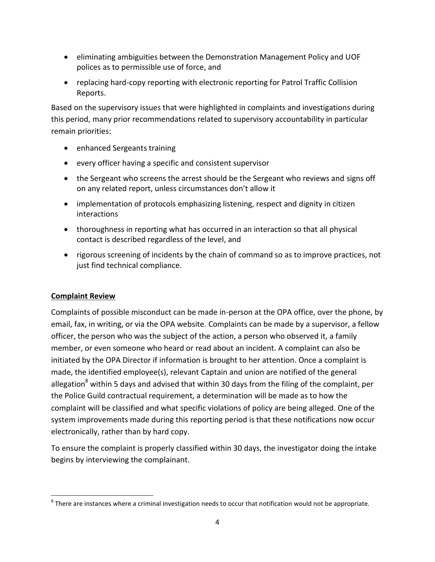- **•** eliminating ambiguities between the Demonstration Management Policy and UOF polices as to permissible use of force, and
- replacing hard-copy reporting with electronic reporting for Patrol Traffic Collision Reports.

Based on the supervisory issues that were highlighted in complaints and investigations during this period, many prior recommendations related to supervisory accountability in particular remain priorities:

- enhanced Sergeants training
- every officer having a specific and consistent supervisor
- the Sergeant who screens the arrest should be the Sergeant who reviews and signs off on any related report, unless circumstances don't allow it
- implementation of protocols emphasizing listening, respect and dignity in citizen interactions
- thoroughness in reporting what has occurred in an interaction so that all physical contact is described regardless of the level, and
- rigorous screening of incidents by the chain of command so as to improve practices, not just find technical compliance.

# **Complaint Review**

 $\overline{\phantom{a}}$ 

Complaints of possible misconduct can be made in-person at the OPA office, over the phone, by email, fax, in writing, or via the OPA website. Complaints can be made by a supervisor, a fellow officer, the person who was the subject of the action, a person who observed it, a family member, or even someone who heard or read about an incident. A complaint can also be initiated by the OPA Director if information is brought to her attention. Once a complaint is made, the identified employee(s), relevant Captain and union are notified of the general allegation<sup>8</sup> within 5 days and advised that within 30 days from the filing of the complaint, per the Police Guild contractual requirement, a determination will be made as to how the complaint will be classified and what specific violations of policy are being alleged. One of the system improvements made during this reporting period is that these notifications now occur electronically, rather than by hard copy.

To ensure the complaint is properly classified within 30 days, the investigator doing the intake begins by interviewing the complainant.

 $^8$  There are instances where a criminal investigation needs to occur that notification would not be appropriate.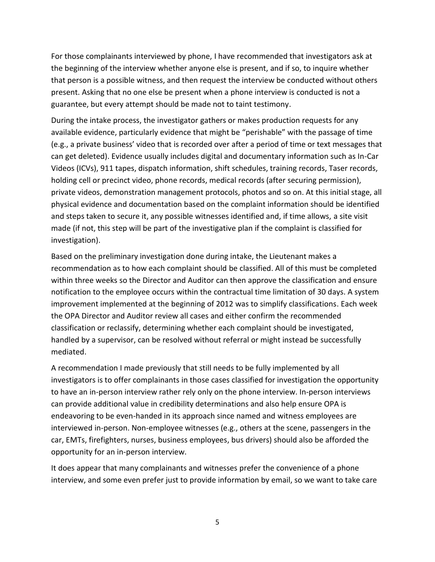For those complainants interviewed by phone, I have recommended that investigators ask at the beginning of the interview whether anyone else is present, and if so, to inquire whether that person is a possible witness, and then request the interview be conducted without others present. Asking that no one else be present when a phone interview is conducted is not a guarantee, but every attempt should be made not to taint testimony.

During the intake process, the investigator gathers or makes production requests for any available evidence, particularly evidence that might be "perishable" with the passage of time (e.g., a private business' video that is recorded over after a period of time or text messages that can get deleted). Evidence usually includes digital and documentary information such as In-Car Videos (ICVs), 911 tapes, dispatch information, shift schedules, training records, Taser records, holding cell or precinct video, phone records, medical records (after securing permission), private videos, demonstration management protocols, photos and so on. At this initial stage, all physical evidence and documentation based on the complaint information should be identified and steps taken to secure it, any possible witnesses identified and, if time allows, a site visit made (if not, this step will be part of the investigative plan if the complaint is classified for investigation).

Based on the preliminary investigation done during intake, the Lieutenant makes a recommendation as to how each complaint should be classified. All of this must be completed within three weeks so the Director and Auditor can then approve the classification and ensure notification to the employee occurs within the contractual time limitation of 30 days. A system improvement implemented at the beginning of 2012 was to simplify classifications. Each week the OPA Director and Auditor review all cases and either confirm the recommended classification or reclassify, determining whether each complaint should be investigated, handled by a supervisor, can be resolved without referral or might instead be successfully mediated.

A recommendation I made previously that still needs to be fully implemented by all investigators is to offer complainants in those cases classified for investigation the opportunity to have an in-person interview rather rely only on the phone interview. In-person interviews can provide additional value in credibility determinations and also help ensure OPA is endeavoring to be even-handed in its approach since named and witness employees are interviewed in-person. Non-employee witnesses (e.g., others at the scene, passengers in the car, EMTs, firefighters, nurses, business employees, bus drivers) should also be afforded the opportunity for an in-person interview.

It does appear that many complainants and witnesses prefer the convenience of a phone interview, and some even prefer just to provide information by email, so we want to take care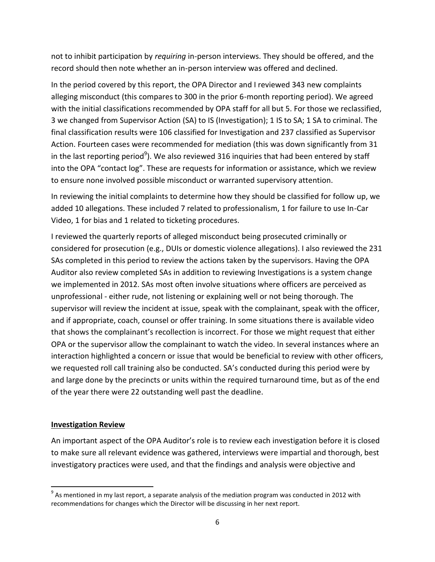not to inhibit participation by *requiring* in-person interviews. They should be offered, and the record should then note whether an in-person interview was offered and declined.

In the period covered by this report, the OPA Director and I reviewed 343 new complaints alleging misconduct (this compares to 300 in the prior 6-month reporting period). We agreed with the initial classifications recommended by OPA staff for all but 5. For those we reclassified, 3 we changed from Supervisor Action (SA) to IS (Investigation); 1 IS to SA; 1 SA to criminal. The final classification results were 106 classified for Investigation and 237 classified as Supervisor Action. Fourteen cases were recommended for mediation (this was down significantly from 31 in the last reporting period<sup>9</sup>). We also reviewed 316 inquiries that had been entered by staff into the OPA "contact log". These are requests for information or assistance, which we review to ensure none involved possible misconduct or warranted supervisory attention.

In reviewing the initial complaints to determine how they should be classified for follow up, we added 10 allegations. These included 7 related to professionalism, 1 for failure to use In-Car Video, 1 for bias and 1 related to ticketing procedures.

I reviewed the quarterly reports of alleged misconduct being prosecuted criminally or considered for prosecution (e.g., DUIs or domestic violence allegations). I also reviewed the 231 SAs completed in this period to review the actions taken by the supervisors. Having the OPA Auditor also review completed SAs in addition to reviewing Investigations is a system change we implemented in 2012. SAs most often involve situations where officers are perceived as unprofessional - either rude, not listening or explaining well or not being thorough. The supervisor will review the incident at issue, speak with the complainant, speak with the officer, and if appropriate, coach, counsel or offer training. In some situations there is available video that shows the complainant's recollection is incorrect. For those we might request that either OPA or the supervisor allow the complainant to watch the video. In several instances where an interaction highlighted a concern or issue that would be beneficial to review with other officers, we requested roll call training also be conducted. SA's conducted during this period were by and large done by the precincts or units within the required turnaround time, but as of the end of the year there were 22 outstanding well past the deadline.

#### **Investigation Review**

 $\overline{\phantom{a}}$ 

An important aspect of the OPA Auditor's role is to review each investigation before it is closed to make sure all relevant evidence was gathered, interviews were impartial and thorough, best investigatory practices were used, and that the findings and analysis were objective and

 $^9$  As mentioned in my last report, a separate analysis of the mediation program was conducted in 2012 with recommendations for changes which the Director will be discussing in her next report.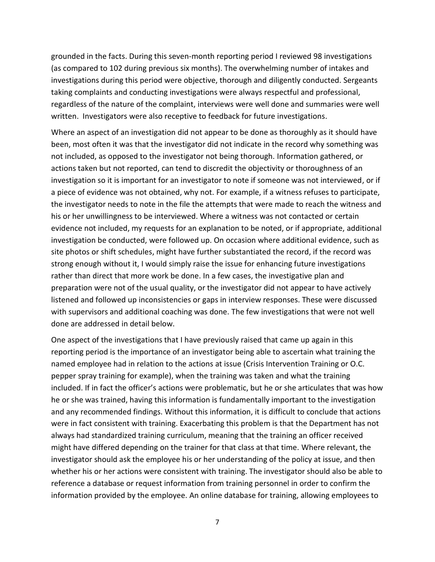grounded in the facts. During this seven-month reporting period I reviewed 98 investigations (as compared to 102 during previous six months). The overwhelming number of intakes and investigations during this period were objective, thorough and diligently conducted. Sergeants taking complaints and conducting investigations were always respectful and professional, regardless of the nature of the complaint, interviews were well done and summaries were well written. Investigators were also receptive to feedback for future investigations.

Where an aspect of an investigation did not appear to be done as thoroughly as it should have been, most often it was that the investigator did not indicate in the record why something was not included, as opposed to the investigator not being thorough. Information gathered, or actions taken but not reported, can tend to discredit the objectivity or thoroughness of an investigation so it is important for an investigator to note if someone was not interviewed, or if a piece of evidence was not obtained, why not. For example, if a witness refuses to participate, the investigator needs to note in the file the attempts that were made to reach the witness and his or her unwillingness to be interviewed. Where a witness was not contacted or certain evidence not included, my requests for an explanation to be noted, or if appropriate, additional investigation be conducted, were followed up. On occasion where additional evidence, such as site photos or shift schedules, might have further substantiated the record, if the record was strong enough without it, I would simply raise the issue for enhancing future investigations rather than direct that more work be done. In a few cases, the investigative plan and preparation were not of the usual quality, or the investigator did not appear to have actively listened and followed up inconsistencies or gaps in interview responses. These were discussed with supervisors and additional coaching was done. The few investigations that were not well done are addressed in detail below.

One aspect of the investigations that I have previously raised that came up again in this reporting period is the importance of an investigator being able to ascertain what training the named employee had in relation to the actions at issue (Crisis Intervention Training or O.C. pepper spray training for example), when the training was taken and what the training included. If in fact the officer's actions were problematic, but he or she articulates that was how he or she was trained, having this information is fundamentally important to the investigation and any recommended findings. Without this information, it is difficult to conclude that actions were in fact consistent with training. Exacerbating this problem is that the Department has not always had standardized training curriculum, meaning that the training an officer received might have differed depending on the trainer for that class at that time. Where relevant, the investigator should ask the employee his or her understanding of the policy at issue, and then whether his or her actions were consistent with training. The investigator should also be able to reference a database or request information from training personnel in order to confirm the information provided by the employee. An online database for training, allowing employees to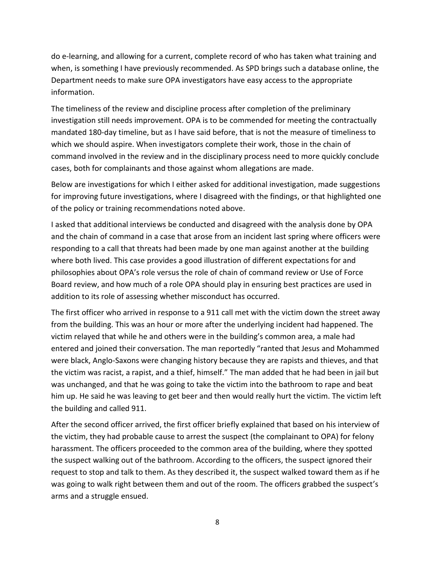do e-learning, and allowing for a current, complete record of who has taken what training and when, is something I have previously recommended. As SPD brings such a database online, the Department needs to make sure OPA investigators have easy access to the appropriate information.

The timeliness of the review and discipline process after completion of the preliminary investigation still needs improvement. OPA is to be commended for meeting the contractually mandated 180-day timeline, but as I have said before, that is not the measure of timeliness to which we should aspire. When investigators complete their work, those in the chain of command involved in the review and in the disciplinary process need to more quickly conclude cases, both for complainants and those against whom allegations are made.

Below are investigations for which I either asked for additional investigation, made suggestions for improving future investigations, where I disagreed with the findings, or that highlighted one of the policy or training recommendations noted above.

I asked that additional interviews be conducted and disagreed with the analysis done by OPA and the chain of command in a case that arose from an incident last spring where officers were responding to a call that threats had been made by one man against another at the building where both lived. This case provides a good illustration of different expectations for and philosophies about OPA's role versus the role of chain of command review or Use of Force Board review, and how much of a role OPA should play in ensuring best practices are used in addition to its role of assessing whether misconduct has occurred.

The first officer who arrived in response to a 911 call met with the victim down the street away from the building. This was an hour or more after the underlying incident had happened. The victim relayed that while he and others were in the building's common area, a male had entered and joined their conversation. The man reportedly "ranted that Jesus and Mohammed were black, Anglo-Saxons were changing history because they are rapists and thieves, and that the victim was racist, a rapist, and a thief, himself." The man added that he had been in jail but was unchanged, and that he was going to take the victim into the bathroom to rape and beat him up. He said he was leaving to get beer and then would really hurt the victim. The victim left the building and called 911.

After the second officer arrived, the first officer briefly explained that based on his interview of the victim, they had probable cause to arrest the suspect (the complainant to OPA) for felony harassment. The officers proceeded to the common area of the building, where they spotted the suspect walking out of the bathroom. According to the officers, the suspect ignored their request to stop and talk to them. As they described it, the suspect walked toward them as if he was going to walk right between them and out of the room. The officers grabbed the suspect's arms and a struggle ensued.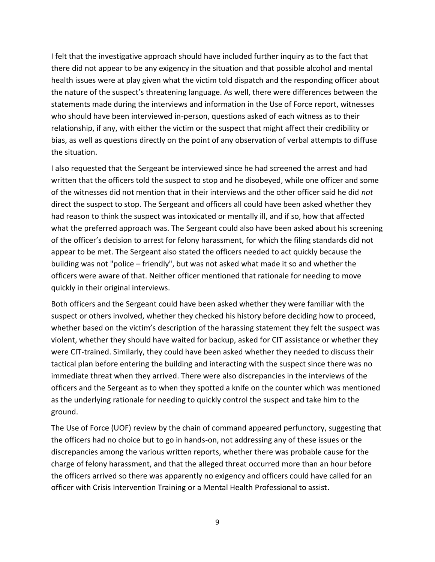I felt that the investigative approach should have included further inquiry as to the fact that there did not appear to be any exigency in the situation and that possible alcohol and mental health issues were at play given what the victim told dispatch and the responding officer about the nature of the suspect's threatening language. As well, there were differences between the statements made during the interviews and information in the Use of Force report, witnesses who should have been interviewed in-person, questions asked of each witness as to their relationship, if any, with either the victim or the suspect that might affect their credibility or bias, as well as questions directly on the point of any observation of verbal attempts to diffuse the situation.

I also requested that the Sergeant be interviewed since he had screened the arrest and had written that the officers told the suspect to stop and he disobeyed, while one officer and some of the witnesses did not mention that in their interviews and the other officer said he did *not* direct the suspect to stop. The Sergeant and officers all could have been asked whether they had reason to think the suspect was intoxicated or mentally ill, and if so, how that affected what the preferred approach was. The Sergeant could also have been asked about his screening of the officer's decision to arrest for felony harassment, for which the filing standards did not appear to be met. The Sergeant also stated the officers needed to act quickly because the building was not "police – friendly", but was not asked what made it so and whether the officers were aware of that. Neither officer mentioned that rationale for needing to move quickly in their original interviews.

Both officers and the Sergeant could have been asked whether they were familiar with the suspect or others involved, whether they checked his history before deciding how to proceed, whether based on the victim's description of the harassing statement they felt the suspect was violent, whether they should have waited for backup, asked for CIT assistance or whether they were CIT-trained. Similarly, they could have been asked whether they needed to discuss their tactical plan before entering the building and interacting with the suspect since there was no immediate threat when they arrived. There were also discrepancies in the interviews of the officers and the Sergeant as to when they spotted a knife on the counter which was mentioned as the underlying rationale for needing to quickly control the suspect and take him to the ground.

The Use of Force (UOF) review by the chain of command appeared perfunctory, suggesting that the officers had no choice but to go in hands-on, not addressing any of these issues or the discrepancies among the various written reports, whether there was probable cause for the charge of felony harassment, and that the alleged threat occurred more than an hour before the officers arrived so there was apparently no exigency and officers could have called for an officer with Crisis Intervention Training or a Mental Health Professional to assist.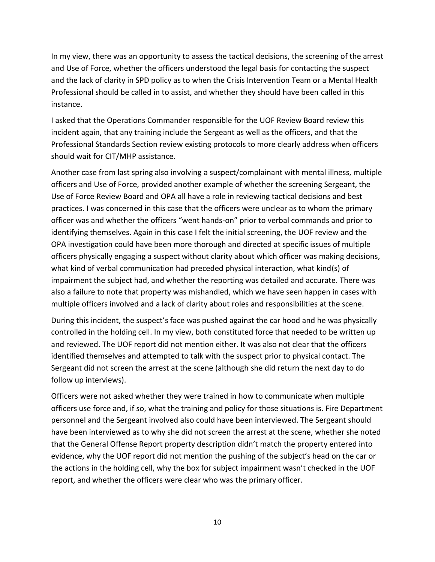In my view, there was an opportunity to assess the tactical decisions, the screening of the arrest and Use of Force, whether the officers understood the legal basis for contacting the suspect and the lack of clarity in SPD policy as to when the Crisis Intervention Team or a Mental Health Professional should be called in to assist, and whether they should have been called in this instance.

I asked that the Operations Commander responsible for the UOF Review Board review this incident again, that any training include the Sergeant as well as the officers, and that the Professional Standards Section review existing protocols to more clearly address when officers should wait for CIT/MHP assistance.

Another case from last spring also involving a suspect/complainant with mental illness, multiple officers and Use of Force, provided another example of whether the screening Sergeant, the Use of Force Review Board and OPA all have a role in reviewing tactical decisions and best practices. I was concerned in this case that the officers were unclear as to whom the primary officer was and whether the officers "went hands-on" prior to verbal commands and prior to identifying themselves. Again in this case I felt the initial screening, the UOF review and the OPA investigation could have been more thorough and directed at specific issues of multiple officers physically engaging a suspect without clarity about which officer was making decisions, what kind of verbal communication had preceded physical interaction, what kind(s) of impairment the subject had, and whether the reporting was detailed and accurate. There was also a failure to note that property was mishandled, which we have seen happen in cases with multiple officers involved and a lack of clarity about roles and responsibilities at the scene.

During this incident, the suspect's face was pushed against the car hood and he was physically controlled in the holding cell. In my view, both constituted force that needed to be written up and reviewed. The UOF report did not mention either. It was also not clear that the officers identified themselves and attempted to talk with the suspect prior to physical contact. The Sergeant did not screen the arrest at the scene (although she did return the next day to do follow up interviews).

Officers were not asked whether they were trained in how to communicate when multiple officers use force and, if so, what the training and policy for those situations is. Fire Department personnel and the Sergeant involved also could have been interviewed. The Sergeant should have been interviewed as to why she did not screen the arrest at the scene, whether she noted that the General Offense Report property description didn't match the property entered into evidence, why the UOF report did not mention the pushing of the subject's head on the car or the actions in the holding cell, why the box for subject impairment wasn't checked in the UOF report, and whether the officers were clear who was the primary officer.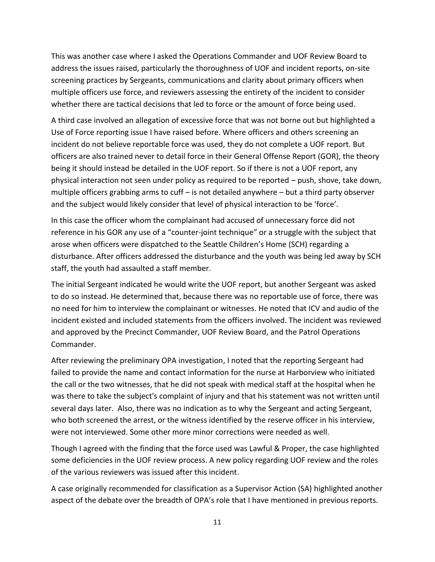This was another case where I asked the Operations Commander and UOF Review Board to address the issues raised, particularly the thoroughness of UOF and incident reports, on-site screening practices by Sergeants, communications and clarity about primary officers when multiple officers use force, and reviewers assessing the entirety of the incident to consider whether there are tactical decisions that led to force or the amount of force being used.

A third case involved an allegation of excessive force that was not borne out but highlighted a Use of Force reporting issue I have raised before. Where officers and others screening an incident do not believe reportable force was used, they do not complete a UOF report. But officers are also trained never to detail force in their General Offense Report (GOR), the theory being it should instead be detailed in the UOF report. So if there is not a UOF report, any physical interaction not seen under policy as required to be reported – push, shove, take down, multiple officers grabbing arms to cuff – is not detailed anywhere – but a third party observer and the subject would likely consider that level of physical interaction to be 'force'.

In this case the officer whom the complainant had accused of unnecessary force did not reference in his GOR any use of a "counter-joint technique" or a struggle with the subject that arose when officers were dispatched to the Seattle Children's Home (SCH) regarding a disturbance. After officers addressed the disturbance and the youth was being led away by SCH staff, the youth had assaulted a staff member.

The initial Sergeant indicated he would write the UOF report, but another Sergeant was asked to do so instead. He determined that, because there was no reportable use of force, there was no need for him to interview the complainant or witnesses. He noted that ICV and audio of the incident existed and included statements from the officers involved. The incident was reviewed and approved by the Precinct Commander, UOF Review Board, and the Patrol Operations Commander.

After reviewing the preliminary OPA investigation, I noted that the reporting Sergeant had failed to provide the name and contact information for the nurse at Harborview who initiated the call or the two witnesses, that he did not speak with medical staff at the hospital when he was there to take the subject's complaint of injury and that his statement was not written until several days later. Also, there was no indication as to why the Sergeant and acting Sergeant, who both screened the arrest, or the witness identified by the reserve officer in his interview, were not interviewed. Some other more minor corrections were needed as well.

Though I agreed with the finding that the force used was Lawful & Proper, the case highlighted some deficiencies in the UOF review process. A new policy regarding UOF review and the roles of the various reviewers was issued after this incident.

A case originally recommended for classification as a Supervisor Action (SA) highlighted another aspect of the debate over the breadth of OPA's role that I have mentioned in previous reports.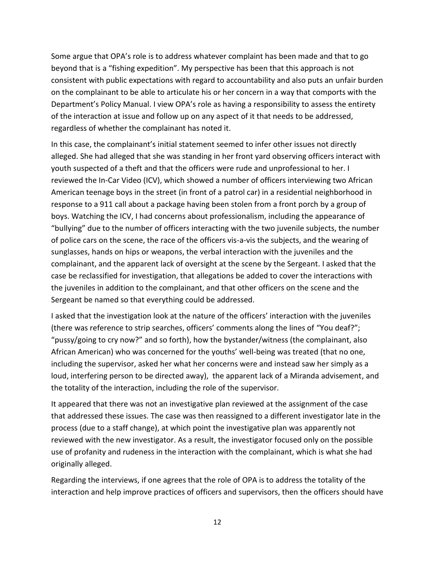Some argue that OPA's role is to address whatever complaint has been made and that to go beyond that is a "fishing expedition". My perspective has been that this approach is not consistent with public expectations with regard to accountability and also puts an unfair burden on the complainant to be able to articulate his or her concern in a way that comports with the Department's Policy Manual. I view OPA's role as having a responsibility to assess the entirety of the interaction at issue and follow up on any aspect of it that needs to be addressed, regardless of whether the complainant has noted it.

In this case, the complainant's initial statement seemed to infer other issues not directly alleged. She had alleged that she was standing in her front yard observing officers interact with youth suspected of a theft and that the officers were rude and unprofessional to her. I reviewed the In-Car Video (ICV), which showed a number of officers interviewing two African American teenage boys in the street (in front of a patrol car) in a residential neighborhood in response to a 911 call about a package having been stolen from a front porch by a group of boys. Watching the ICV, I had concerns about professionalism, including the appearance of "bullying" due to the number of officers interacting with the two juvenile subjects, the number of police cars on the scene, the race of the officers vis-a-vis the subjects, and the wearing of sunglasses, hands on hips or weapons, the verbal interaction with the juveniles and the complainant, and the apparent lack of oversight at the scene by the Sergeant. I asked that the case be reclassified for investigation, that allegations be added to cover the interactions with the juveniles in addition to the complainant, and that other officers on the scene and the Sergeant be named so that everything could be addressed.

I asked that the investigation look at the nature of the officers' interaction with the juveniles (there was reference to strip searches, officers' comments along the lines of "You deaf?"; "pussy/going to cry now?" and so forth), how the bystander/witness (the complainant, also African American) who was concerned for the youths' well-being was treated (that no one, including the supervisor, asked her what her concerns were and instead saw her simply as a loud, interfering person to be directed away), the apparent lack of a Miranda advisement, and the totality of the interaction, including the role of the supervisor.

It appeared that there was not an investigative plan reviewed at the assignment of the case that addressed these issues. The case was then reassigned to a different investigator late in the process (due to a staff change), at which point the investigative plan was apparently not reviewed with the new investigator. As a result, the investigator focused only on the possible use of profanity and rudeness in the interaction with the complainant, which is what she had originally alleged.

Regarding the interviews, if one agrees that the role of OPA is to address the totality of the interaction and help improve practices of officers and supervisors, then the officers should have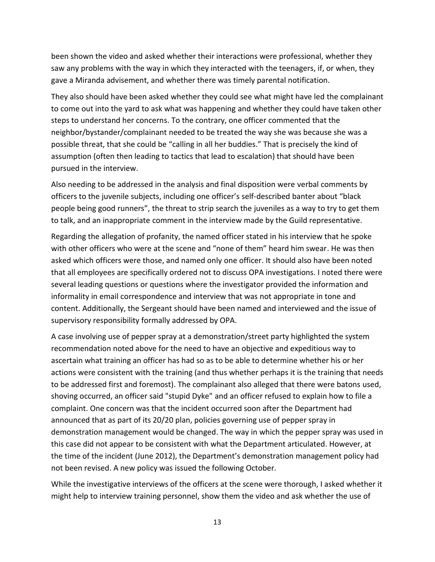been shown the video and asked whether their interactions were professional, whether they saw any problems with the way in which they interacted with the teenagers, if, or when, they gave a Miranda advisement, and whether there was timely parental notification.

They also should have been asked whether they could see what might have led the complainant to come out into the yard to ask what was happening and whether they could have taken other steps to understand her concerns. To the contrary, one officer commented that the neighbor/bystander/complainant needed to be treated the way she was because she was a possible threat, that she could be "calling in all her buddies." That is precisely the kind of assumption (often then leading to tactics that lead to escalation) that should have been pursued in the interview.

Also needing to be addressed in the analysis and final disposition were verbal comments by officers to the juvenile subjects, including one officer's self-described banter about "black people being good runners", the threat to strip search the juveniles as a way to try to get them to talk, and an inappropriate comment in the interview made by the Guild representative.

Regarding the allegation of profanity, the named officer stated in his interview that he spoke with other officers who were at the scene and "none of them" heard him swear. He was then asked which officers were those, and named only one officer. It should also have been noted that all employees are specifically ordered not to discuss OPA investigations. I noted there were several leading questions or questions where the investigator provided the information and informality in email correspondence and interview that was not appropriate in tone and content. Additionally, the Sergeant should have been named and interviewed and the issue of supervisory responsibility formally addressed by OPA.

A case involving use of pepper spray at a demonstration/street party highlighted the system recommendation noted above for the need to have an objective and expeditious way to ascertain what training an officer has had so as to be able to determine whether his or her actions were consistent with the training (and thus whether perhaps it is the training that needs to be addressed first and foremost). The complainant also alleged that there were batons used, shoving occurred, an officer said "stupid Dyke" and an officer refused to explain how to file a complaint. One concern was that the incident occurred soon after the Department had announced that as part of its 20/20 plan, policies governing use of pepper spray in demonstration management would be changed. The way in which the pepper spray was used in this case did not appear to be consistent with what the Department articulated. However, at the time of the incident (June 2012), the Department's demonstration management policy had not been revised. A new policy was issued the following October.

While the investigative interviews of the officers at the scene were thorough, I asked whether it might help to interview training personnel, show them the video and ask whether the use of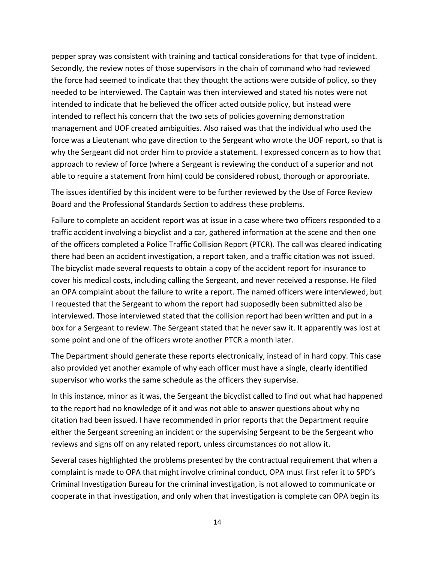pepper spray was consistent with training and tactical considerations for that type of incident. Secondly, the review notes of those supervisors in the chain of command who had reviewed the force had seemed to indicate that they thought the actions were outside of policy, so they needed to be interviewed. The Captain was then interviewed and stated his notes were not intended to indicate that he believed the officer acted outside policy, but instead were intended to reflect his concern that the two sets of policies governing demonstration management and UOF created ambiguities. Also raised was that the individual who used the force was a Lieutenant who gave direction to the Sergeant who wrote the UOF report, so that is why the Sergeant did not order him to provide a statement. I expressed concern as to how that approach to review of force (where a Sergeant is reviewing the conduct of a superior and not able to require a statement from him) could be considered robust, thorough or appropriate.

The issues identified by this incident were to be further reviewed by the Use of Force Review Board and the Professional Standards Section to address these problems.

Failure to complete an accident report was at issue in a case where two officers responded to a traffic accident involving a bicyclist and a car, gathered information at the scene and then one of the officers completed a Police Traffic Collision Report (PTCR). The call was cleared indicating there had been an accident investigation, a report taken, and a traffic citation was not issued. The bicyclist made several requests to obtain a copy of the accident report for insurance to cover his medical costs, including calling the Sergeant, and never received a response. He filed an OPA complaint about the failure to write a report. The named officers were interviewed, but I requested that the Sergeant to whom the report had supposedly been submitted also be interviewed. Those interviewed stated that the collision report had been written and put in a box for a Sergeant to review. The Sergeant stated that he never saw it. It apparently was lost at some point and one of the officers wrote another PTCR a month later.

The Department should generate these reports electronically, instead of in hard copy. This case also provided yet another example of why each officer must have a single, clearly identified supervisor who works the same schedule as the officers they supervise.

In this instance, minor as it was, the Sergeant the bicyclist called to find out what had happened to the report had no knowledge of it and was not able to answer questions about why no citation had been issued. I have recommended in prior reports that the Department require either the Sergeant screening an incident or the supervising Sergeant to be the Sergeant who reviews and signs off on any related report, unless circumstances do not allow it.

Several cases highlighted the problems presented by the contractual requirement that when a complaint is made to OPA that might involve criminal conduct, OPA must first refer it to SPD's Criminal Investigation Bureau for the criminal investigation, is not allowed to communicate or cooperate in that investigation, and only when that investigation is complete can OPA begin its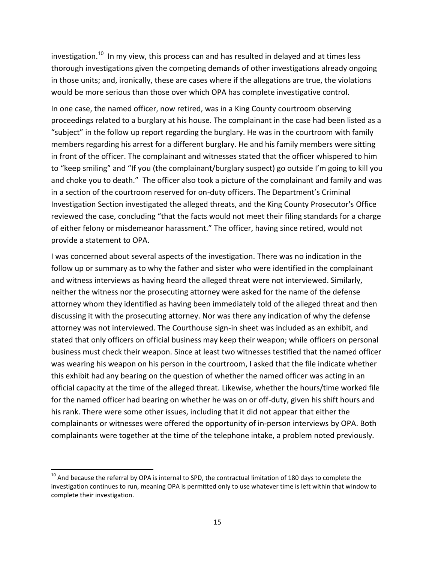investigation.<sup>10</sup> In my view, this process can and has resulted in delayed and at times less thorough investigations given the competing demands of other investigations already ongoing in those units; and, ironically, these are cases where if the allegations are true, the violations would be more serious than those over which OPA has complete investigative control.

In one case, the named officer, now retired, was in a King County courtroom observing proceedings related to a burglary at his house. The complainant in the case had been listed as a "subject" in the follow up report regarding the burglary. He was in the courtroom with family members regarding his arrest for a different burglary. He and his family members were sitting in front of the officer. The complainant and witnesses stated that the officer whispered to him to "keep smiling" and "If you (the complainant/burglary suspect) go outside I'm going to kill you and choke you to death." The officer also took a picture of the complainant and family and was in a section of the courtroom reserved for on-duty officers. The Department's Criminal Investigation Section investigated the alleged threats, and the King County Prosecutor's Office reviewed the case, concluding "that the facts would not meet their filing standards for a charge of either felony or misdemeanor harassment." The officer, having since retired, would not provide a statement to OPA.

I was concerned about several aspects of the investigation. There was no indication in the follow up or summary as to why the father and sister who were identified in the complainant and witness interviews as having heard the alleged threat were not interviewed. Similarly, neither the witness nor the prosecuting attorney were asked for the name of the defense attorney whom they identified as having been immediately told of the alleged threat and then discussing it with the prosecuting attorney. Nor was there any indication of why the defense attorney was not interviewed. The Courthouse sign-in sheet was included as an exhibit, and stated that only officers on official business may keep their weapon; while officers on personal business must check their weapon. Since at least two witnesses testified that the named officer was wearing his weapon on his person in the courtroom, I asked that the file indicate whether this exhibit had any bearing on the question of whether the named officer was acting in an official capacity at the time of the alleged threat. Likewise, whether the hours/time worked file for the named officer had bearing on whether he was on or off-duty, given his shift hours and his rank. There were some other issues, including that it did not appear that either the complainants or witnesses were offered the opportunity of in-person interviews by OPA. Both complainants were together at the time of the telephone intake, a problem noted previously.

 $\overline{\phantom{a}}$ 

 $^{10}$  And because the referral by OPA is internal to SPD, the contractual limitation of 180 days to complete the investigation continues to run, meaning OPA is permitted only to use whatever time is left within that window to complete their investigation.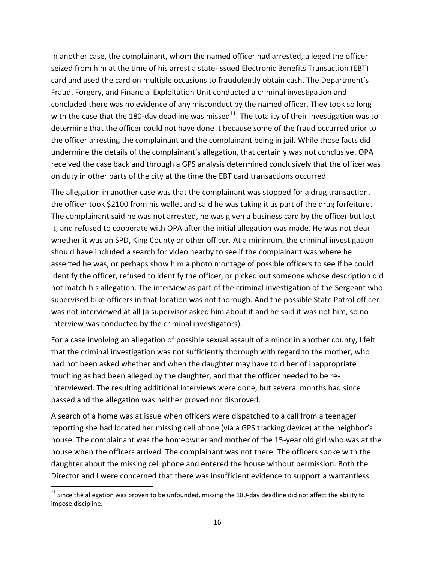In another case, the complainant, whom the named officer had arrested, alleged the officer seized from him at the time of his arrest a state-issued Electronic Benefits Transaction (EBT) card and used the card on multiple occasions to fraudulently obtain cash. The Department's Fraud, Forgery, and Financial Exploitation Unit conducted a criminal investigation and concluded there was no evidence of any misconduct by the named officer. They took so long with the case that the 180-day deadline was missed<sup>11</sup>. The totality of their investigation was to determine that the officer could not have done it because some of the fraud occurred prior to the officer arresting the complainant and the complainant being in jail. While those facts did undermine the details of the complainant's allegation, that certainly was not conclusive. OPA received the case back and through a GPS analysis determined conclusively that the officer was on duty in other parts of the city at the time the EBT card transactions occurred.

The allegation in another case was that the complainant was stopped for a drug transaction, the officer took \$2100 from his wallet and said he was taking it as part of the drug forfeiture. The complainant said he was not arrested, he was given a business card by the officer but lost it, and refused to cooperate with OPA after the initial allegation was made. He was not clear whether it was an SPD, King County or other officer. At a minimum, the criminal investigation should have included a search for video nearby to see if the complainant was where he asserted he was, or perhaps show him a photo montage of possible officers to see if he could identify the officer, refused to identify the officer, or picked out someone whose description did not match his allegation. The interview as part of the criminal investigation of the Sergeant who supervised bike officers in that location was not thorough. And the possible State Patrol officer was not interviewed at all (a supervisor asked him about it and he said it was not him, so no interview was conducted by the criminal investigators).

For a case involving an allegation of possible sexual assault of a minor in another county, I felt that the criminal investigation was not sufficiently thorough with regard to the mother, who had not been asked whether and when the daughter may have told her of inappropriate touching as had been alleged by the daughter, and that the officer needed to be reinterviewed. The resulting additional interviews were done, but several months had since passed and the allegation was neither proved nor disproved.

A search of a home was at issue when officers were dispatched to a call from a teenager reporting she had located her missing cell phone (via a GPS tracking device) at the neighbor's house. The complainant was the homeowner and mother of the 15-year old girl who was at the house when the officers arrived. The complainant was not there. The officers spoke with the daughter about the missing cell phone and entered the house without permission. Both the Director and I were concerned that there was insufficient evidence to support a warrantless

 $\overline{\phantom{a}}$ 

 $11$  Since the allegation was proven to be unfounded, missing the 180-day deadline did not affect the ability to impose discipline.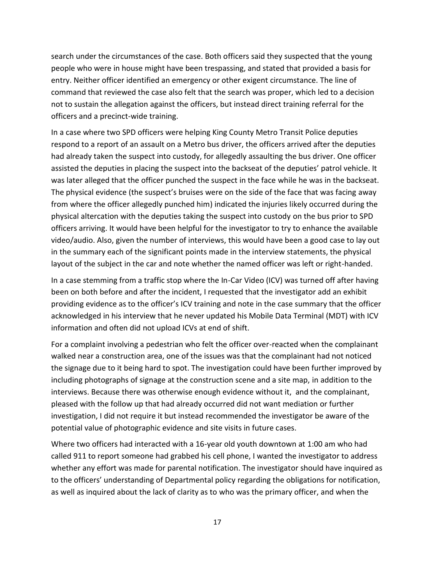search under the circumstances of the case. Both officers said they suspected that the young people who were in house might have been trespassing, and stated that provided a basis for entry. Neither officer identified an emergency or other exigent circumstance. The line of command that reviewed the case also felt that the search was proper, which led to a decision not to sustain the allegation against the officers, but instead direct training referral for the officers and a precinct-wide training.

In a case where two SPD officers were helping King County Metro Transit Police deputies respond to a report of an assault on a Metro bus driver, the officers arrived after the deputies had already taken the suspect into custody, for allegedly assaulting the bus driver. One officer assisted the deputies in placing the suspect into the backseat of the deputies' patrol vehicle. It was later alleged that the officer punched the suspect in the face while he was in the backseat. The physical evidence (the suspect's bruises were on the side of the face that was facing away from where the officer allegedly punched him) indicated the injuries likely occurred during the physical altercation with the deputies taking the suspect into custody on the bus prior to SPD officers arriving. It would have been helpful for the investigator to try to enhance the available video/audio. Also, given the number of interviews, this would have been a good case to lay out in the summary each of the significant points made in the interview statements, the physical layout of the subject in the car and note whether the named officer was left or right-handed.

In a case stemming from a traffic stop where the In-Car Video (ICV) was turned off after having been on both before and after the incident, I requested that the investigator add an exhibit providing evidence as to the officer's ICV training and note in the case summary that the officer acknowledged in his interview that he never updated his Mobile Data Terminal (MDT) with ICV information and often did not upload ICVs at end of shift.

For a complaint involving a pedestrian who felt the officer over-reacted when the complainant walked near a construction area, one of the issues was that the complainant had not noticed the signage due to it being hard to spot. The investigation could have been further improved by including photographs of signage at the construction scene and a site map, in addition to the interviews. Because there was otherwise enough evidence without it, and the complainant, pleased with the follow up that had already occurred did not want mediation or further investigation, I did not require it but instead recommended the investigator be aware of the potential value of photographic evidence and site visits in future cases.

Where two officers had interacted with a 16-year old youth downtown at 1:00 am who had called 911 to report someone had grabbed his cell phone, I wanted the investigator to address whether any effort was made for parental notification. The investigator should have inquired as to the officers' understanding of Departmental policy regarding the obligations for notification, as well as inquired about the lack of clarity as to who was the primary officer, and when the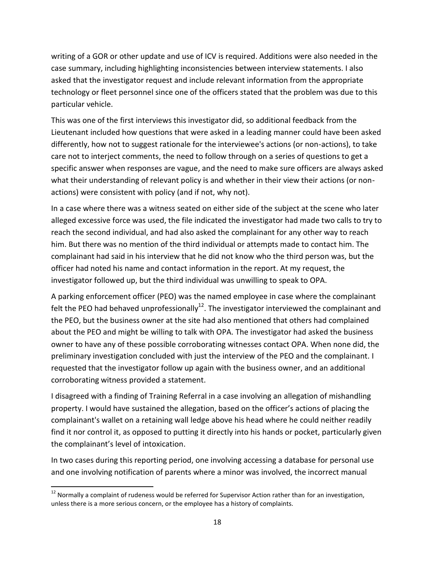writing of a GOR or other update and use of ICV is required. Additions were also needed in the case summary, including highlighting inconsistencies between interview statements. I also asked that the investigator request and include relevant information from the appropriate technology or fleet personnel since one of the officers stated that the problem was due to this particular vehicle.

This was one of the first interviews this investigator did, so additional feedback from the Lieutenant included how questions that were asked in a leading manner could have been asked differently, how not to suggest rationale for the interviewee's actions (or non-actions), to take care not to interject comments, the need to follow through on a series of questions to get a specific answer when responses are vague, and the need to make sure officers are always asked what their understanding of relevant policy is and whether in their view their actions (or nonactions) were consistent with policy (and if not, why not).

In a case where there was a witness seated on either side of the subject at the scene who later alleged excessive force was used, the file indicated the investigator had made two calls to try to reach the second individual, and had also asked the complainant for any other way to reach him. But there was no mention of the third individual or attempts made to contact him. The complainant had said in his interview that he did not know who the third person was, but the officer had noted his name and contact information in the report. At my request, the investigator followed up, but the third individual was unwilling to speak to OPA.

A parking enforcement officer (PEO) was the named employee in case where the complainant felt the PEO had behaved unprofessionally<sup>12</sup>. The investigator interviewed the complainant and the PEO, but the business owner at the site had also mentioned that others had complained about the PEO and might be willing to talk with OPA. The investigator had asked the business owner to have any of these possible corroborating witnesses contact OPA. When none did, the preliminary investigation concluded with just the interview of the PEO and the complainant. I requested that the investigator follow up again with the business owner, and an additional corroborating witness provided a statement.

I disagreed with a finding of Training Referral in a case involving an allegation of mishandling property. I would have sustained the allegation, based on the officer's actions of placing the complainant's wallet on a retaining wall ledge above his head where he could neither readily find it nor control it, as opposed to putting it directly into his hands or pocket, particularly given the complainant's level of intoxication.

In two cases during this reporting period, one involving accessing a database for personal use and one involving notification of parents where a minor was involved, the incorrect manual

 $\overline{\phantom{a}}$ 

 $12$  Normally a complaint of rudeness would be referred for Supervisor Action rather than for an investigation, unless there is a more serious concern, or the employee has a history of complaints.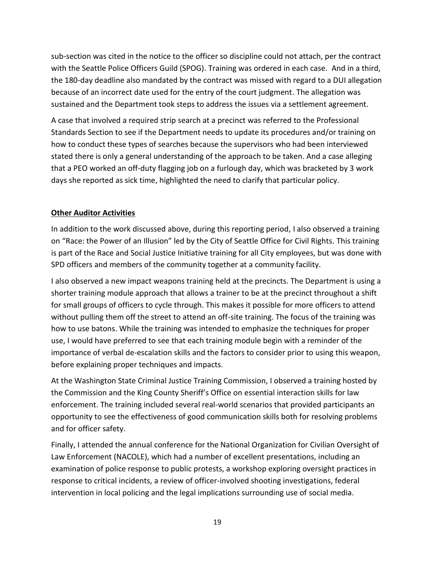sub-section was cited in the notice to the officer so discipline could not attach, per the contract with the Seattle Police Officers Guild (SPOG). Training was ordered in each case. And in a third, the 180-day deadline also mandated by the contract was missed with regard to a DUI allegation because of an incorrect date used for the entry of the court judgment. The allegation was sustained and the Department took steps to address the issues via a settlement agreement.

A case that involved a required strip search at a precinct was referred to the Professional Standards Section to see if the Department needs to update its procedures and/or training on how to conduct these types of searches because the supervisors who had been interviewed stated there is only a general understanding of the approach to be taken. And a case alleging that a PEO worked an off-duty flagging job on a furlough day, which was bracketed by 3 work days she reported as sick time, highlighted the need to clarify that particular policy.

## **Other Auditor Activities**

In addition to the work discussed above, during this reporting period, I also observed a training on "Race: the Power of an Illusion" led by the City of Seattle Office for Civil Rights. This training is part of the Race and Social Justice Initiative training for all City employees, but was done with SPD officers and members of the community together at a community facility.

I also observed a new impact weapons training held at the precincts. The Department is using a shorter training module approach that allows a trainer to be at the precinct throughout a shift for small groups of officers to cycle through. This makes it possible for more officers to attend without pulling them off the street to attend an off-site training. The focus of the training was how to use batons. While the training was intended to emphasize the techniques for proper use, I would have preferred to see that each training module begin with a reminder of the importance of verbal de-escalation skills and the factors to consider prior to using this weapon, before explaining proper techniques and impacts.

At the Washington State Criminal Justice Training Commission, I observed a training hosted by the Commission and the King County Sheriff's Office on essential interaction skills for law enforcement. The training included several real-world scenarios that provided participants an opportunity to see the effectiveness of good communication skills both for resolving problems and for officer safety.

Finally, I attended the annual conference for the National Organization for Civilian Oversight of Law Enforcement (NACOLE), which had a number of excellent presentations, including an examination of police response to public protests, a workshop exploring oversight practices in response to critical incidents, a review of officer-involved shooting investigations, federal intervention in local policing and the legal implications surrounding use of social media.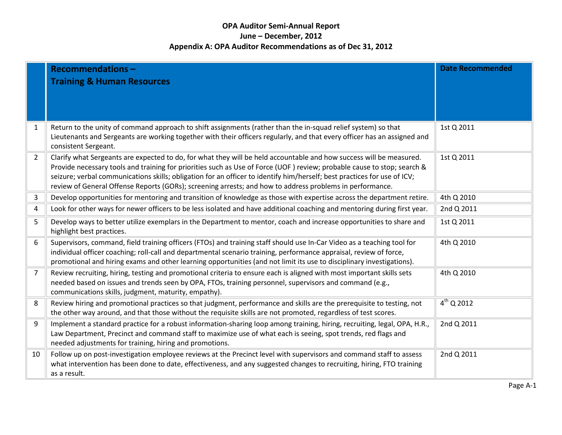## **OPA Auditor Semi-Annual Report June – December, 2012 Appendix A: OPA Auditor Recommendations as of Dec 31, 2012**

|                | <b>Recommendations-</b>                                                                                                                                         | <b>Date Recommended</b> |
|----------------|-----------------------------------------------------------------------------------------------------------------------------------------------------------------|-------------------------|
|                | <b>Training &amp; Human Resources</b>                                                                                                                           |                         |
|                |                                                                                                                                                                 |                         |
|                |                                                                                                                                                                 |                         |
|                |                                                                                                                                                                 |                         |
| $\mathbf{1}$   | Return to the unity of command approach to shift assignments (rather than the in-squad relief system) so that                                                   | 1st Q 2011              |
|                | Lieutenants and Sergeants are working together with their officers regularly, and that every officer has an assigned and<br>consistent Sergeant.                |                         |
| $\overline{2}$ | Clarify what Sergeants are expected to do, for what they will be held accountable and how success will be measured.                                             | 1st Q 2011              |
|                | Provide necessary tools and training for priorities such as Use of Force (UOF) review; probable cause to stop; search &                                         |                         |
|                | seizure; verbal communications skills; obligation for an officer to identify him/herself; best practices for use of ICV;                                        |                         |
|                | review of General Offense Reports (GORs); screening arrests; and how to address problems in performance.                                                        |                         |
| 3              | Develop opportunities for mentoring and transition of knowledge as those with expertise across the department retire.                                           | 4th Q 2010              |
| 4              | Look for other ways for newer officers to be less isolated and have additional coaching and mentoring during first year.                                        | 2nd Q 2011              |
| 5              | Develop ways to better utilize exemplars in the Department to mentor, coach and increase opportunities to share and                                             | 1st Q 2011              |
|                | highlight best practices.                                                                                                                                       |                         |
| 6              | Supervisors, command, field training officers (FTOs) and training staff should use In-Car Video as a teaching tool for                                          | 4th Q 2010              |
|                | individual officer coaching; roll-call and departmental scenario training, performance appraisal, review of force,                                              |                         |
|                | promotional and hiring exams and other learning opportunities (and not limit its use to disciplinary investigations).                                           |                         |
| $\overline{7}$ | Review recruiting, hiring, testing and promotional criteria to ensure each is aligned with most important skills sets                                           | 4th Q 2010              |
|                | needed based on issues and trends seen by OPA, FTOs, training personnel, supervisors and command (e.g.,<br>communications skills, judgment, maturity, empathy). |                         |
| 8              | Review hiring and promotional practices so that judgment, performance and skills are the prerequisite to testing, not                                           | $4^{th}$ Q 2012         |
|                | the other way around, and that those without the requisite skills are not promoted, regardless of test scores.                                                  |                         |
| $\overline{9}$ | Implement a standard practice for a robust information-sharing loop among training, hiring, recruiting, legal, OPA, H.R.,                                       | 2nd Q 2011              |
|                | Law Department, Precinct and command staff to maximize use of what each is seeing, spot trends, red flags and                                                   |                         |
|                | needed adjustments for training, hiring and promotions.                                                                                                         |                         |
| 10             | Follow up on post-investigation employee reviews at the Precinct level with supervisors and command staff to assess                                             | 2nd Q 2011              |
|                | what intervention has been done to date, effectiveness, and any suggested changes to recruiting, hiring, FTO training                                           |                         |
|                | as a result.                                                                                                                                                    |                         |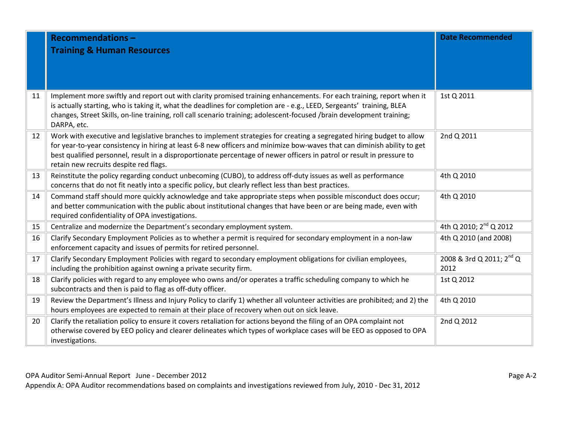|    | <b>Recommendations-</b>                                                                                                                                                                                                                         | <b>Date Recommended</b>                      |
|----|-------------------------------------------------------------------------------------------------------------------------------------------------------------------------------------------------------------------------------------------------|----------------------------------------------|
|    | <b>Training &amp; Human Resources</b>                                                                                                                                                                                                           |                                              |
|    |                                                                                                                                                                                                                                                 |                                              |
|    |                                                                                                                                                                                                                                                 |                                              |
|    |                                                                                                                                                                                                                                                 |                                              |
| 11 | Implement more swiftly and report out with clarity promised training enhancements. For each training, report when it                                                                                                                            | 1st Q 2011                                   |
|    | is actually starting, who is taking it, what the deadlines for completion are - e.g., LEED, Sergeants' training, BLEA<br>changes, Street Skills, on-line training, roll call scenario training; adolescent-focused /brain development training; |                                              |
|    | DARPA, etc.                                                                                                                                                                                                                                     |                                              |
| 12 | Work with executive and legislative branches to implement strategies for creating a segregated hiring budget to allow                                                                                                                           | 2nd Q 2011                                   |
|    | for year-to-year consistency in hiring at least 6-8 new officers and minimize bow-waves that can diminish ability to get                                                                                                                        |                                              |
|    | best qualified personnel, result in a disproportionate percentage of newer officers in patrol or result in pressure to<br>retain new recruits despite red flags.                                                                                |                                              |
| 13 | Reinstitute the policy regarding conduct unbecoming (CUBO), to address off-duty issues as well as performance                                                                                                                                   | 4th Q 2010                                   |
|    | concerns that do not fit neatly into a specific policy, but clearly reflect less than best practices.                                                                                                                                           |                                              |
| 14 | Command staff should more quickly acknowledge and take appropriate steps when possible misconduct does occur;                                                                                                                                   | 4th Q 2010                                   |
|    | and better communication with the public about institutional changes that have been or are being made, even with                                                                                                                                |                                              |
|    | required confidentiality of OPA investigations.                                                                                                                                                                                                 |                                              |
| 15 | Centralize and modernize the Department's secondary employment system.                                                                                                                                                                          | 4th Q 2010; 2 <sup>nd</sup> Q 2012           |
| 16 | Clarify Secondary Employment Policies as to whether a permit is required for secondary employment in a non-law                                                                                                                                  | 4th Q 2010 (and 2008)                        |
|    | enforcement capacity and issues of permits for retired personnel.                                                                                                                                                                               |                                              |
| 17 | Clarify Secondary Employment Policies with regard to secondary employment obligations for civilian employees,<br>including the prohibition against owning a private security firm.                                                              | 2008 & 3rd Q 2011; 2 <sup>nd</sup> Q<br>2012 |
| 18 | Clarify policies with regard to any employee who owns and/or operates a traffic scheduling company to which he                                                                                                                                  | 1st Q 2012                                   |
|    | subcontracts and then is paid to flag as off-duty officer.                                                                                                                                                                                      |                                              |
| 19 | Review the Department's Illness and Injury Policy to clarify 1) whether all volunteer activities are prohibited; and 2) the                                                                                                                     | 4th Q 2010                                   |
|    | hours employees are expected to remain at their place of recovery when out on sick leave.                                                                                                                                                       |                                              |
| 20 | Clarify the retaliation policy to ensure it covers retaliation for actions beyond the filing of an OPA complaint not                                                                                                                            | 2nd Q 2012                                   |
|    | otherwise covered by EEO policy and clearer delineates which types of workplace cases will be EEO as opposed to OPA                                                                                                                             |                                              |
|    | investigations.                                                                                                                                                                                                                                 |                                              |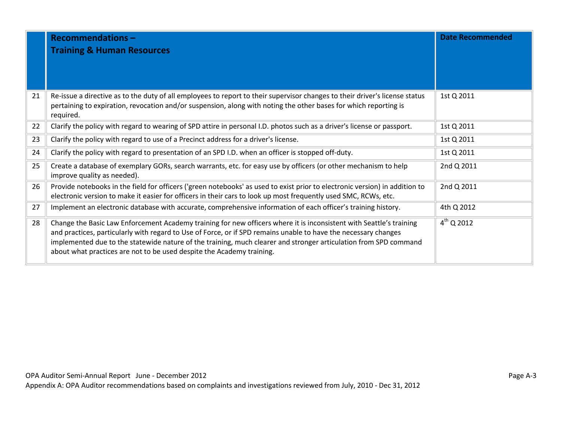|    | <b>Recommendations-</b><br><b>Training &amp; Human Resources</b>                                                                                                                                                                                                                                                                                                                                                                    | <b>Date Recommended</b> |
|----|-------------------------------------------------------------------------------------------------------------------------------------------------------------------------------------------------------------------------------------------------------------------------------------------------------------------------------------------------------------------------------------------------------------------------------------|-------------------------|
| 21 | Re-issue a directive as to the duty of all employees to report to their supervisor changes to their driver's license status<br>pertaining to expiration, revocation and/or suspension, along with noting the other bases for which reporting is<br>required.                                                                                                                                                                        | 1st Q 2011              |
| 22 | Clarify the policy with regard to wearing of SPD attire in personal I.D. photos such as a driver's license or passport.                                                                                                                                                                                                                                                                                                             | 1st Q 2011              |
| 23 | Clarify the policy with regard to use of a Precinct address for a driver's license.                                                                                                                                                                                                                                                                                                                                                 | 1st Q 2011              |
| 24 | Clarify the policy with regard to presentation of an SPD I.D. when an officer is stopped off-duty.                                                                                                                                                                                                                                                                                                                                  | 1st Q 2011              |
| 25 | Create a database of exemplary GORs, search warrants, etc. for easy use by officers (or other mechanism to help<br>improve quality as needed).                                                                                                                                                                                                                                                                                      | 2nd Q 2011              |
| 26 | Provide notebooks in the field for officers ('green notebooks' as used to exist prior to electronic version) in addition to<br>electronic version to make it easier for officers in their cars to look up most frequently used SMC, RCWs, etc.                                                                                                                                                                                      | 2nd Q 2011              |
| 27 | Implement an electronic database with accurate, comprehensive information of each officer's training history.                                                                                                                                                                                                                                                                                                                       | 4th Q 2012              |
| 28 | Change the Basic Law Enforcement Academy training for new officers where it is inconsistent with Seattle's training<br>and practices, particularly with regard to Use of Force, or if SPD remains unable to have the necessary changes<br>implemented due to the statewide nature of the training, much clearer and stronger articulation from SPD command<br>about what practices are not to be used despite the Academy training. | $4^{th}$ Q 2012         |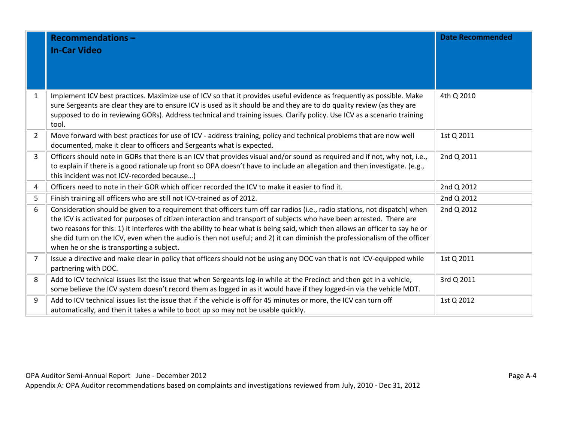|                | <b>Recommendations-</b>                                                                                                                                                                                                                                                                                                                                                                                                                                                                                                                                        | <b>Date Recommended</b> |
|----------------|----------------------------------------------------------------------------------------------------------------------------------------------------------------------------------------------------------------------------------------------------------------------------------------------------------------------------------------------------------------------------------------------------------------------------------------------------------------------------------------------------------------------------------------------------------------|-------------------------|
|                | <b>In-Car Video</b>                                                                                                                                                                                                                                                                                                                                                                                                                                                                                                                                            |                         |
|                |                                                                                                                                                                                                                                                                                                                                                                                                                                                                                                                                                                |                         |
|                |                                                                                                                                                                                                                                                                                                                                                                                                                                                                                                                                                                |                         |
| $\mathbf{1}$   | Implement ICV best practices. Maximize use of ICV so that it provides useful evidence as frequently as possible. Make<br>sure Sergeants are clear they are to ensure ICV is used as it should be and they are to do quality review (as they are<br>supposed to do in reviewing GORs). Address technical and training issues. Clarify policy. Use ICV as a scenario training<br>tool.                                                                                                                                                                           | 4th Q 2010              |
| $\overline{2}$ | Move forward with best practices for use of ICV - address training, policy and technical problems that are now well<br>documented, make it clear to officers and Sergeants what is expected.                                                                                                                                                                                                                                                                                                                                                                   | 1st Q 2011              |
| $\overline{3}$ | Officers should note in GORs that there is an ICV that provides visual and/or sound as required and if not, why not, i.e.,<br>to explain if there is a good rationale up front so OPA doesn't have to include an allegation and then investigate. (e.g.,<br>this incident was not ICV-recorded because)                                                                                                                                                                                                                                                        | 2nd Q 2011              |
| 4              | Officers need to note in their GOR which officer recorded the ICV to make it easier to find it.                                                                                                                                                                                                                                                                                                                                                                                                                                                                | 2nd Q 2012              |
| 5              | Finish training all officers who are still not ICV-trained as of 2012.                                                                                                                                                                                                                                                                                                                                                                                                                                                                                         | 2nd Q 2012              |
| 6              | Consideration should be given to a requirement that officers turn off car radios (i.e., radio stations, not dispatch) when<br>the ICV is activated for purposes of citizen interaction and transport of subjects who have been arrested. There are<br>two reasons for this: 1) it interferes with the ability to hear what is being said, which then allows an officer to say he or<br>she did turn on the ICV, even when the audio is then not useful; and 2) it can diminish the professionalism of the officer<br>when he or she is transporting a subject. | 2nd Q 2012              |
| $\overline{7}$ | Issue a directive and make clear in policy that officers should not be using any DOC van that is not ICV-equipped while<br>partnering with DOC.                                                                                                                                                                                                                                                                                                                                                                                                                | 1st Q 2011              |
| 8              | Add to ICV technical issues list the issue that when Sergeants log-in while at the Precinct and then get in a vehicle,<br>some believe the ICV system doesn't record them as logged in as it would have if they logged-in via the vehicle MDT.                                                                                                                                                                                                                                                                                                                 | 3rd Q 2011              |
| 9              | Add to ICV technical issues list the issue that if the vehicle is off for 45 minutes or more, the ICV can turn off<br>automatically, and then it takes a while to boot up so may not be usable quickly.                                                                                                                                                                                                                                                                                                                                                        | 1st Q 2012              |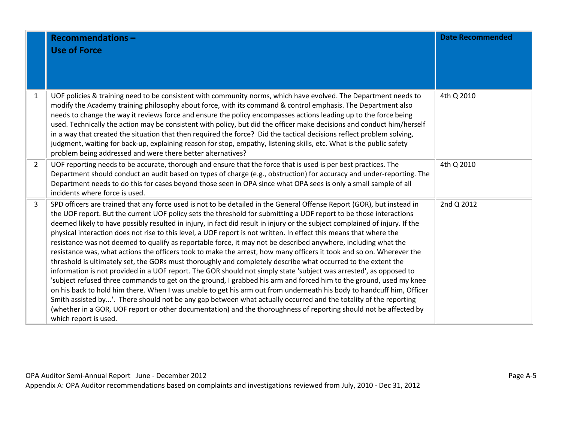|                | <b>Recommendations-</b><br><b>Use of Force</b>                                                                                                                                                                                                                                                                                                                                                                                                                                                                                                                                                                                                                                                                                                                                                                                                                                                                                                                                                                                                                                                                                                                                                                                                                                                                                                                                                                                                                                                      | <b>Date Recommended</b> |
|----------------|-----------------------------------------------------------------------------------------------------------------------------------------------------------------------------------------------------------------------------------------------------------------------------------------------------------------------------------------------------------------------------------------------------------------------------------------------------------------------------------------------------------------------------------------------------------------------------------------------------------------------------------------------------------------------------------------------------------------------------------------------------------------------------------------------------------------------------------------------------------------------------------------------------------------------------------------------------------------------------------------------------------------------------------------------------------------------------------------------------------------------------------------------------------------------------------------------------------------------------------------------------------------------------------------------------------------------------------------------------------------------------------------------------------------------------------------------------------------------------------------------------|-------------------------|
| $\mathbf{1}$   | UOF policies & training need to be consistent with community norms, which have evolved. The Department needs to<br>modify the Academy training philosophy about force, with its command & control emphasis. The Department also<br>needs to change the way it reviews force and ensure the policy encompasses actions leading up to the force being<br>used. Technically the action may be consistent with policy, but did the officer make decisions and conduct him/herself<br>in a way that created the situation that then required the force? Did the tactical decisions reflect problem solving,<br>judgment, waiting for back-up, explaining reason for stop, empathy, listening skills, etc. What is the public safety<br>problem being addressed and were there better alternatives?                                                                                                                                                                                                                                                                                                                                                                                                                                                                                                                                                                                                                                                                                                       | 4th Q 2010              |
| $\overline{2}$ | UOF reporting needs to be accurate, thorough and ensure that the force that is used is per best practices. The<br>Department should conduct an audit based on types of charge (e.g., obstruction) for accuracy and under-reporting. The<br>Department needs to do this for cases beyond those seen in OPA since what OPA sees is only a small sample of all<br>incidents where force is used.                                                                                                                                                                                                                                                                                                                                                                                                                                                                                                                                                                                                                                                                                                                                                                                                                                                                                                                                                                                                                                                                                                       | 4th Q 2010              |
| 3              | SPD officers are trained that any force used is not to be detailed in the General Offense Report (GOR), but instead in<br>the UOF report. But the current UOF policy sets the threshold for submitting a UOF report to be those interactions<br>deemed likely to have possibly resulted in injury, in fact did result in injury or the subject complained of injury. If the<br>physical interaction does not rise to this level, a UOF report is not written. In effect this means that where the<br>resistance was not deemed to qualify as reportable force, it may not be described anywhere, including what the<br>resistance was, what actions the officers took to make the arrest, how many officers it took and so on. Wherever the<br>threshold is ultimately set, the GORs must thoroughly and completely describe what occurred to the extent the<br>information is not provided in a UOF report. The GOR should not simply state 'subject was arrested', as opposed to<br>'subject refused three commands to get on the ground, I grabbed his arm and forced him to the ground, used my knee<br>on his back to hold him there. When I was unable to get his arm out from underneath his body to handcuff him, Officer<br>Smith assisted by'. There should not be any gap between what actually occurred and the totality of the reporting<br>(whether in a GOR, UOF report or other documentation) and the thoroughness of reporting should not be affected by<br>which report is used. | 2nd Q 2012              |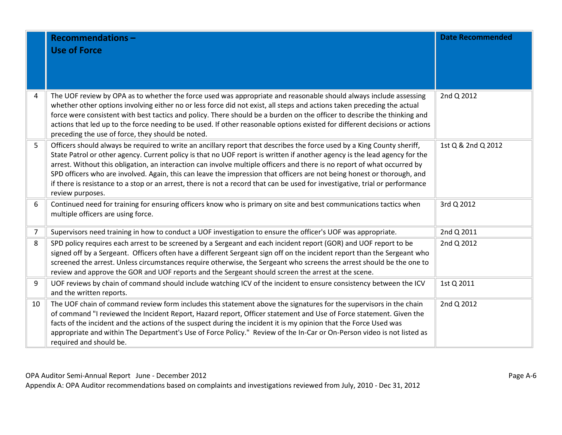|                | <b>Recommendations-</b><br><b>Use of Force</b>                                                                                                                                                                                                                                                                                                                                                                                                                                                                                                                                                                                                                    | <b>Date Recommended</b> |
|----------------|-------------------------------------------------------------------------------------------------------------------------------------------------------------------------------------------------------------------------------------------------------------------------------------------------------------------------------------------------------------------------------------------------------------------------------------------------------------------------------------------------------------------------------------------------------------------------------------------------------------------------------------------------------------------|-------------------------|
| 4              | The UOF review by OPA as to whether the force used was appropriate and reasonable should always include assessing<br>whether other options involving either no or less force did not exist, all steps and actions taken preceding the actual<br>force were consistent with best tactics and policy. There should be a burden on the officer to describe the thinking and<br>actions that led up to the force needing to be used. If other reasonable options existed for different decisions or actions<br>preceding the use of force, they should be noted.                                                                                                      | 2nd Q 2012              |
| 5              | Officers should always be required to write an ancillary report that describes the force used by a King County sheriff,<br>State Patrol or other agency. Current policy is that no UOF report is written if another agency is the lead agency for the<br>arrest. Without this obligation, an interaction can involve multiple officers and there is no report of what occurred by<br>SPD officers who are involved. Again, this can leave the impression that officers are not being honest or thorough, and<br>if there is resistance to a stop or an arrest, there is not a record that can be used for investigative, trial or performance<br>review purposes. | 1st Q & 2nd Q 2012      |
| 6              | Continued need for training for ensuring officers know who is primary on site and best communications tactics when<br>multiple officers are using force.                                                                                                                                                                                                                                                                                                                                                                                                                                                                                                          | 3rd Q 2012              |
| $\overline{7}$ | Supervisors need training in how to conduct a UOF investigation to ensure the officer's UOF was appropriate.                                                                                                                                                                                                                                                                                                                                                                                                                                                                                                                                                      | 2nd Q 2011              |
| 8              | SPD policy requires each arrest to be screened by a Sergeant and each incident report (GOR) and UOF report to be<br>signed off by a Sergeant. Officers often have a different Sergeant sign off on the incident report than the Sergeant who<br>screened the arrest. Unless circumstances require otherwise, the Sergeant who screens the arrest should be the one to<br>review and approve the GOR and UOF reports and the Sergeant should screen the arrest at the scene.                                                                                                                                                                                       | 2nd Q 2012              |
| 9              | UOF reviews by chain of command should include watching ICV of the incident to ensure consistency between the ICV<br>and the written reports.                                                                                                                                                                                                                                                                                                                                                                                                                                                                                                                     | 1st Q 2011              |
| 10             | The UOF chain of command review form includes this statement above the signatures for the supervisors in the chain<br>of command "I reviewed the Incident Report, Hazard report, Officer statement and Use of Force statement. Given the<br>facts of the incident and the actions of the suspect during the incident it is my opinion that the Force Used was<br>appropriate and within The Department's Use of Force Policy." Review of the In-Car or On-Person video is not listed as<br>required and should be.                                                                                                                                                | 2nd Q 2012              |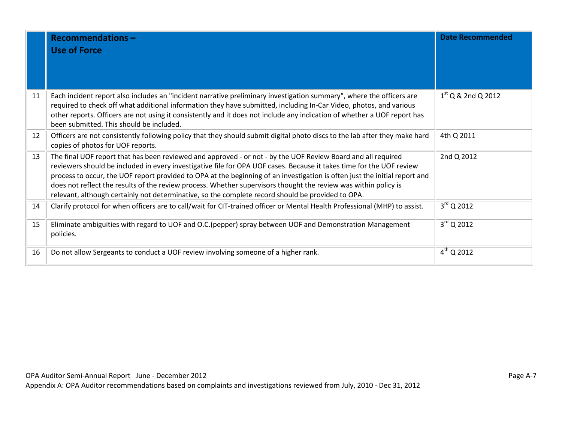|    | <b>Recommendations-</b><br><b>Use of Force</b>                                                                                                                                                                                                                                                                                                                                                                                                                                                                                                                                             | <b>Date Recommended</b> |
|----|--------------------------------------------------------------------------------------------------------------------------------------------------------------------------------------------------------------------------------------------------------------------------------------------------------------------------------------------------------------------------------------------------------------------------------------------------------------------------------------------------------------------------------------------------------------------------------------------|-------------------------|
| 11 | Each incident report also includes an "incident narrative preliminary investigation summary", where the officers are<br>required to check off what additional information they have submitted, including In-Car Video, photos, and various<br>other reports. Officers are not using it consistently and it does not include any indication of whether a UOF report has<br>been submitted. This should be included.                                                                                                                                                                         | $1st$ Q & 2nd Q 2012    |
| 12 | Officers are not consistently following policy that they should submit digital photo discs to the lab after they make hard<br>copies of photos for UOF reports.                                                                                                                                                                                                                                                                                                                                                                                                                            | 4th Q 2011              |
| 13 | The final UOF report that has been reviewed and approved - or not - by the UOF Review Board and all required<br>reviewers should be included in every investigative file for OPA UOF cases. Because it takes time for the UOF review<br>process to occur, the UOF report provided to OPA at the beginning of an investigation is often just the initial report and<br>does not reflect the results of the review process. Whether supervisors thought the review was within policy is<br>relevant, although certainly not determinative, so the complete record should be provided to OPA. | 2nd Q 2012              |
| 14 | Clarify protocol for when officers are to call/wait for CIT-trained officer or Mental Health Professional (MHP) to assist.                                                                                                                                                                                                                                                                                                                                                                                                                                                                 | $3^{\text{rd}}$ Q 2012  |
| 15 | Eliminate ambiguities with regard to UOF and O.C. (pepper) spray between UOF and Demonstration Management<br>policies.                                                                                                                                                                                                                                                                                                                                                                                                                                                                     | $3^{\text{rd}}$ Q 2012  |
| 16 | Do not allow Sergeants to conduct a UOF review involving someone of a higher rank.                                                                                                                                                                                                                                                                                                                                                                                                                                                                                                         | $4^{th}$ Q 2012         |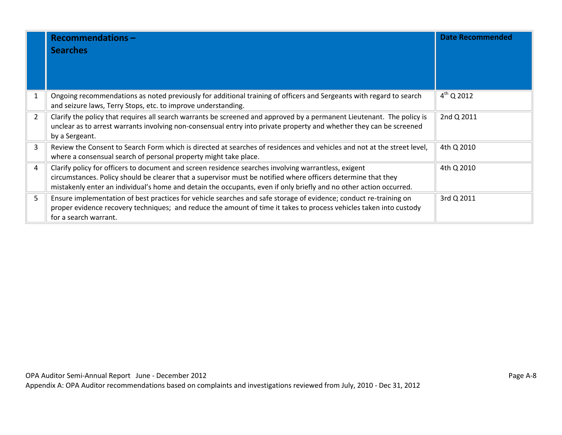|                | <b>Recommendations-</b><br><b>Searches</b>                                                                                                                                                                                                                                                                                                  | <b>Date Recommended</b> |
|----------------|---------------------------------------------------------------------------------------------------------------------------------------------------------------------------------------------------------------------------------------------------------------------------------------------------------------------------------------------|-------------------------|
|                | Ongoing recommendations as noted previously for additional training of officers and Sergeants with regard to search<br>and seizure laws, Terry Stops, etc. to improve understanding.                                                                                                                                                        | $4^{th}$ Q 2012         |
| $\overline{2}$ | Clarify the policy that requires all search warrants be screened and approved by a permanent Lieutenant. The policy is<br>unclear as to arrest warrants involving non-consensual entry into private property and whether they can be screened<br>by a Sergeant.                                                                             | 2nd Q 2011              |
| 3              | Review the Consent to Search Form which is directed at searches of residences and vehicles and not at the street level,<br>where a consensual search of personal property might take place.                                                                                                                                                 | 4th Q 2010              |
| 4              | Clarify policy for officers to document and screen residence searches involving warrantless, exigent<br>circumstances. Policy should be clearer that a supervisor must be notified where officers determine that they<br>mistakenly enter an individual's home and detain the occupants, even if only briefly and no other action occurred. | 4th Q 2010              |
| 5.             | Ensure implementation of best practices for vehicle searches and safe storage of evidence; conduct re-training on<br>proper evidence recovery techniques; and reduce the amount of time it takes to process vehicles taken into custody<br>for a search warrant.                                                                            | 3rd Q 2011              |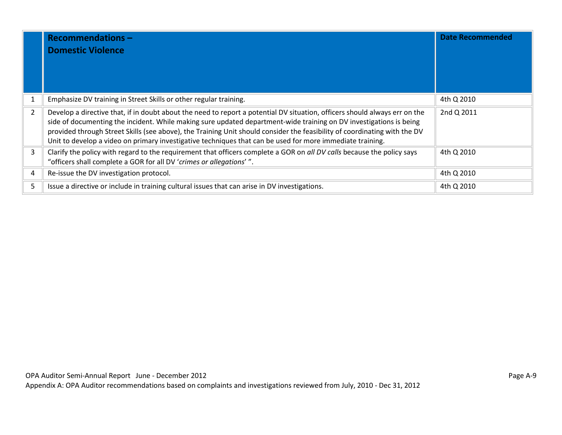|                | <b>Recommendations-</b><br><b>Domestic Violence</b>                                                                                                                                                                                                                                                                                                                                                                                                                                        | <b>Date Recommended</b> |
|----------------|--------------------------------------------------------------------------------------------------------------------------------------------------------------------------------------------------------------------------------------------------------------------------------------------------------------------------------------------------------------------------------------------------------------------------------------------------------------------------------------------|-------------------------|
|                | Emphasize DV training in Street Skills or other regular training.                                                                                                                                                                                                                                                                                                                                                                                                                          | 4th Q 2010              |
| $\overline{2}$ | Develop a directive that, if in doubt about the need to report a potential DV situation, officers should always err on the<br>side of documenting the incident. While making sure updated department-wide training on DV investigations is being<br>provided through Street Skills (see above), the Training Unit should consider the feasibility of coordinating with the DV<br>Unit to develop a video on primary investigative techniques that can be used for more immediate training. | 2nd Q 2011              |
| 3              | Clarify the policy with regard to the requirement that officers complete a GOR on all DV calls because the policy says<br>"officers shall complete a GOR for all DV 'crimes or allegations'".                                                                                                                                                                                                                                                                                              | 4th Q 2010              |
| 4              | Re-issue the DV investigation protocol.                                                                                                                                                                                                                                                                                                                                                                                                                                                    | 4th Q 2010              |
| 5              | Issue a directive or include in training cultural issues that can arise in DV investigations.                                                                                                                                                                                                                                                                                                                                                                                              | 4th Q 2010              |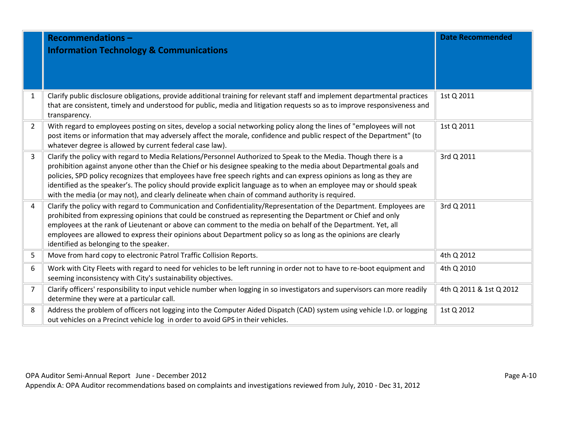|                | <b>Recommendations-</b><br><b>Information Technology &amp; Communications</b>                                                                                                                                                                                                                                                                                                                                                                                                                                                                                                          | <b>Date Recommended</b> |
|----------------|----------------------------------------------------------------------------------------------------------------------------------------------------------------------------------------------------------------------------------------------------------------------------------------------------------------------------------------------------------------------------------------------------------------------------------------------------------------------------------------------------------------------------------------------------------------------------------------|-------------------------|
| $\mathbf{1}$   | Clarify public disclosure obligations, provide additional training for relevant staff and implement departmental practices<br>that are consistent, timely and understood for public, media and litigation requests so as to improve responsiveness and<br>transparency.                                                                                                                                                                                                                                                                                                                | 1st Q 2011              |
| $\overline{2}$ | With regard to employees posting on sites, develop a social networking policy along the lines of "employees will not<br>post items or information that may adversely affect the morale, confidence and public respect of the Department" (to<br>whatever degree is allowed by current federal case law).                                                                                                                                                                                                                                                                               | 1st Q 2011              |
| $\overline{3}$ | Clarify the policy with regard to Media Relations/Personnel Authorized to Speak to the Media. Though there is a<br>prohibition against anyone other than the Chief or his designee speaking to the media about Departmental goals and<br>policies, SPD policy recognizes that employees have free speech rights and can express opinions as long as they are<br>identified as the speaker's. The policy should provide explicit language as to when an employee may or should speak<br>with the media (or may not), and clearly delineate when chain of command authority is required. | 3rd Q 2011              |
| $\overline{4}$ | Clarify the policy with regard to Communication and Confidentiality/Representation of the Department. Employees are<br>prohibited from expressing opinions that could be construed as representing the Department or Chief and only<br>employees at the rank of Lieutenant or above can comment to the media on behalf of the Department. Yet, all<br>employees are allowed to express their opinions about Department policy so as long as the opinions are clearly<br>identified as belonging to the speaker.                                                                        | 3rd Q 2011              |
| 5              | Move from hard copy to electronic Patrol Traffic Collision Reports.                                                                                                                                                                                                                                                                                                                                                                                                                                                                                                                    | 4th Q 2012              |
| 6              | Work with City Fleets with regard to need for vehicles to be left running in order not to have to re-boot equipment and<br>seeming inconsistency with City's sustainability objectives.                                                                                                                                                                                                                                                                                                                                                                                                | 4th Q 2010              |
| $\overline{7}$ | Clarify officers' responsibility to input vehicle number when logging in so investigators and supervisors can more readily<br>determine they were at a particular call.                                                                                                                                                                                                                                                                                                                                                                                                                | 4th Q 2011 & 1st Q 2012 |
| 8              | Address the problem of officers not logging into the Computer Aided Dispatch (CAD) system using vehicle I.D. or logging<br>out vehicles on a Precinct vehicle log in order to avoid GPS in their vehicles.                                                                                                                                                                                                                                                                                                                                                                             | 1st Q 2012              |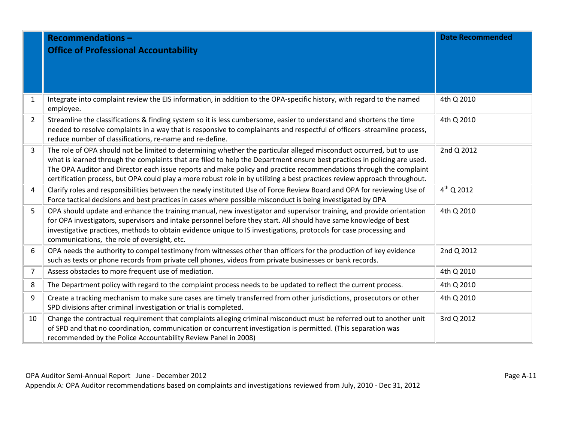|                | <b>Recommendations-</b>                                                                                                                                                              | <b>Date Recommended</b> |
|----------------|--------------------------------------------------------------------------------------------------------------------------------------------------------------------------------------|-------------------------|
|                | <b>Office of Professional Accountability</b>                                                                                                                                         |                         |
|                |                                                                                                                                                                                      |                         |
|                |                                                                                                                                                                                      |                         |
|                |                                                                                                                                                                                      |                         |
| $\mathbf{1}$   | Integrate into complaint review the EIS information, in addition to the OPA-specific history, with regard to the named                                                               | 4th Q 2010              |
|                | employee.                                                                                                                                                                            |                         |
| $\overline{2}$ | Streamline the classifications & finding system so it is less cumbersome, easier to understand and shortens the time                                                                 | 4th Q 2010              |
|                | needed to resolve complaints in a way that is responsive to complainants and respectful of officers -streamline process,<br>reduce number of classifications, re-name and re-define. |                         |
| $\overline{3}$ | The role of OPA should not be limited to determining whether the particular alleged misconduct occurred, but to use                                                                  | 2nd Q 2012              |
|                | what is learned through the complaints that are filed to help the Department ensure best practices in policing are used.                                                             |                         |
|                | The OPA Auditor and Director each issue reports and make policy and practice recommendations through the complaint                                                                   |                         |
|                | certification process, but OPA could play a more robust role in by utilizing a best practices review approach throughout.                                                            |                         |
| 4              | Clarify roles and responsibilities between the newly instituted Use of Force Review Board and OPA for reviewing Use of                                                               | $4^{th}$ Q 2012         |
|                | Force tactical decisions and best practices in cases where possible misconduct is being investigated by OPA                                                                          |                         |
| 5              | OPA should update and enhance the training manual, new investigator and supervisor training, and provide orientation                                                                 | 4th Q 2010              |
|                | for OPA investigators, supervisors and intake personnel before they start. All should have same knowledge of best                                                                    |                         |
|                | investigative practices, methods to obtain evidence unique to IS investigations, protocols for case processing and                                                                   |                         |
|                | communications, the role of oversight, etc.                                                                                                                                          |                         |
| 6              | OPA needs the authority to compel testimony from witnesses other than officers for the production of key evidence                                                                    | 2nd Q 2012              |
|                | such as texts or phone records from private cell phones, videos from private businesses or bank records.                                                                             |                         |
| $\overline{7}$ | Assess obstacles to more frequent use of mediation.                                                                                                                                  | 4th Q 2010              |
| 8              | The Department policy with regard to the complaint process needs to be updated to reflect the current process.                                                                       | 4th Q 2010              |
| 9              | Create a tracking mechanism to make sure cases are timely transferred from other jurisdictions, prosecutors or other                                                                 | 4th Q 2010              |
|                | SPD divisions after criminal investigation or trial is completed.                                                                                                                    |                         |
| 10             | Change the contractual requirement that complaints alleging criminal misconduct must be referred out to another unit                                                                 | 3rd Q 2012              |
|                | of SPD and that no coordination, communication or concurrent investigation is permitted. (This separation was                                                                        |                         |
|                | recommended by the Police Accountability Review Panel in 2008)                                                                                                                       |                         |

OPA Auditor Semi-Annual Report June - December 2012 **Page A-11** Page A-11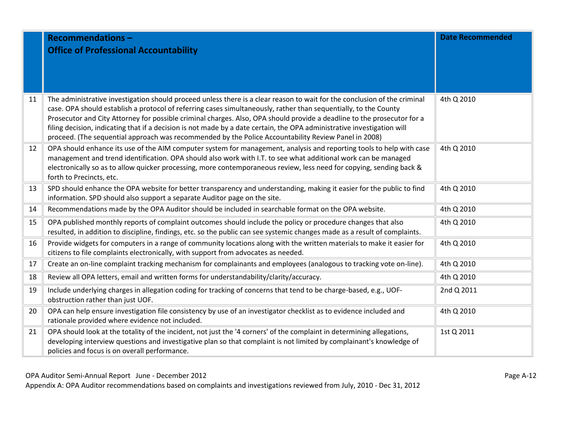|    | <b>Recommendations-</b><br><b>Office of Professional Accountability</b>                                                                                                                                                                                                                                                                                                                                                                                                                                                                                                                                     | <b>Date Recommended</b> |
|----|-------------------------------------------------------------------------------------------------------------------------------------------------------------------------------------------------------------------------------------------------------------------------------------------------------------------------------------------------------------------------------------------------------------------------------------------------------------------------------------------------------------------------------------------------------------------------------------------------------------|-------------------------|
| 11 | The administrative investigation should proceed unless there is a clear reason to wait for the conclusion of the criminal<br>case. OPA should establish a protocol of referring cases simultaneously, rather than sequentially, to the County<br>Prosecutor and City Attorney for possible criminal charges. Also, OPA should provide a deadline to the prosecutor for a<br>filing decision, indicating that if a decision is not made by a date certain, the OPA administrative investigation will<br>proceed. (The sequential approach was recommended by the Police Accountability Review Panel in 2008) | 4th Q 2010              |
| 12 | OPA should enhance its use of the AIM computer system for management, analysis and reporting tools to help with case<br>management and trend identification. OPA should also work with I.T. to see what additional work can be managed<br>electronically so as to allow quicker processing, more contemporaneous review, less need for copying, sending back &<br>forth to Precincts, etc.                                                                                                                                                                                                                  | 4th Q 2010              |
| 13 | SPD should enhance the OPA website for better transparency and understanding, making it easier for the public to find<br>information. SPD should also support a separate Auditor page on the site.                                                                                                                                                                                                                                                                                                                                                                                                          | 4th Q 2010              |
| 14 | Recommendations made by the OPA Auditor should be included in searchable format on the OPA website.                                                                                                                                                                                                                                                                                                                                                                                                                                                                                                         | 4th Q 2010              |
| 15 | OPA published monthly reports of complaint outcomes should include the policy or procedure changes that also<br>resulted, in addition to discipline, findings, etc. so the public can see systemic changes made as a result of complaints.                                                                                                                                                                                                                                                                                                                                                                  | 4th Q 2010              |
| 16 | Provide widgets for computers in a range of community locations along with the written materials to make it easier for<br>citizens to file complaints electronically, with support from advocates as needed.                                                                                                                                                                                                                                                                                                                                                                                                | 4th Q 2010              |
| 17 | Create an on-line complaint tracking mechanism for complainants and employees (analogous to tracking vote on-line).                                                                                                                                                                                                                                                                                                                                                                                                                                                                                         | 4th Q 2010              |
| 18 | Review all OPA letters, email and written forms for understandability/clarity/accuracy.                                                                                                                                                                                                                                                                                                                                                                                                                                                                                                                     | 4th Q 2010              |
| 19 | Include underlying charges in allegation coding for tracking of concerns that tend to be charge-based, e.g., UOF-<br>obstruction rather than just UOF.                                                                                                                                                                                                                                                                                                                                                                                                                                                      | 2nd Q 2011              |
| 20 | OPA can help ensure investigation file consistency by use of an investigator checklist as to evidence included and<br>rationale provided where evidence not included.                                                                                                                                                                                                                                                                                                                                                                                                                                       | 4th Q 2010              |
| 21 | OPA should look at the totality of the incident, not just the '4 corners' of the complaint in determining allegations,<br>developing interview questions and investigative plan so that complaint is not limited by complainant's knowledge of<br>policies and focus is on overall performance.                                                                                                                                                                                                                                                                                                             | 1st Q 2011              |

OPA Auditor Semi-Annual Report June - December 2012 **Page A-12** Page A-12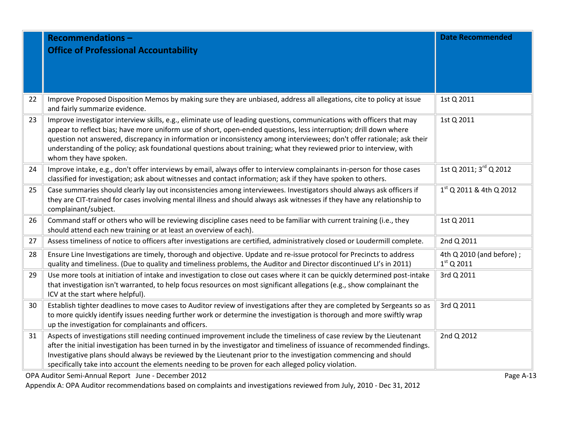|    | <b>Recommendations-</b><br><b>Office of Professional Accountability</b>                                                                                                                                                                                                                                                                                                                                                                                                                                                 | <b>Date Recommended</b>                  |  |
|----|-------------------------------------------------------------------------------------------------------------------------------------------------------------------------------------------------------------------------------------------------------------------------------------------------------------------------------------------------------------------------------------------------------------------------------------------------------------------------------------------------------------------------|------------------------------------------|--|
|    |                                                                                                                                                                                                                                                                                                                                                                                                                                                                                                                         |                                          |  |
|    |                                                                                                                                                                                                                                                                                                                                                                                                                                                                                                                         |                                          |  |
|    |                                                                                                                                                                                                                                                                                                                                                                                                                                                                                                                         |                                          |  |
| 22 | Improve Proposed Disposition Memos by making sure they are unbiased, address all allegations, cite to policy at issue<br>and fairly summarize evidence.                                                                                                                                                                                                                                                                                                                                                                 | 1st Q 2011                               |  |
| 23 | Improve investigator interview skills, e.g., eliminate use of leading questions, communications with officers that may<br>appear to reflect bias; have more uniform use of short, open-ended questions, less interruption; drill down where<br>question not answered, discrepancy in information or inconsistency among interviewees; don't offer rationale; ask their<br>understanding of the policy; ask foundational questions about training; what they reviewed prior to interview, with<br>whom they have spoken. | 1st Q 2011                               |  |
| 24 | Improve intake, e.g., don't offer interviews by email, always offer to interview complainants in-person for those cases<br>classified for investigation; ask about witnesses and contact information; ask if they have spoken to others.                                                                                                                                                                                                                                                                                | 1st Q 2011; 3rd Q 2012                   |  |
| 25 | Case summaries should clearly lay out inconsistencies among interviewees. Investigators should always ask officers if<br>they are CIT-trained for cases involving mental illness and should always ask witnesses if they have any relationship to<br>complainant/subject.                                                                                                                                                                                                                                               | $1st$ Q 2011 & 4th Q 2012                |  |
| 26 | Command staff or others who will be reviewing discipline cases need to be familiar with current training (i.e., they<br>should attend each new training or at least an overview of each).                                                                                                                                                                                                                                                                                                                               | 1st Q 2011                               |  |
| 27 | Assess timeliness of notice to officers after investigations are certified, administratively closed or Loudermill complete.                                                                                                                                                                                                                                                                                                                                                                                             | 2nd Q 2011                               |  |
| 28 | Ensure Line Investigations are timely, thorough and objective. Update and re-issue protocol for Precincts to address<br>quality and timeliness. (Due to quality and timeliness problems, the Auditor and Director discontinued LI's in 2011)                                                                                                                                                                                                                                                                            | 4th Q 2010 (and before);<br>$1st$ Q 2011 |  |
| 29 | Use more tools at initiation of intake and investigation to close out cases where it can be quickly determined post-intake<br>that investigation isn't warranted, to help focus resources on most significant allegations (e.g., show complainant the<br>ICV at the start where helpful).                                                                                                                                                                                                                               | 3rd Q 2011                               |  |
| 30 | Establish tighter deadlines to move cases to Auditor review of investigations after they are completed by Sergeants so as<br>to more quickly identify issues needing further work or determine the investigation is thorough and more swiftly wrap<br>up the investigation for complainants and officers.                                                                                                                                                                                                               | 3rd Q 2011                               |  |
| 31 | Aspects of investigations still needing continued improvement include the timeliness of case review by the Lieutenant<br>after the initial investigation has been turned in by the investigator and timeliness of issuance of recommended findings.<br>Investigative plans should always be reviewed by the Lieutenant prior to the investigation commencing and should<br>specifically take into account the elements needing to be proven for each alleged policy violation.                                          | 2nd Q 2012                               |  |
|    | OPA Auditor Semi-Annual Report June - December 2012<br>Page A-13                                                                                                                                                                                                                                                                                                                                                                                                                                                        |                                          |  |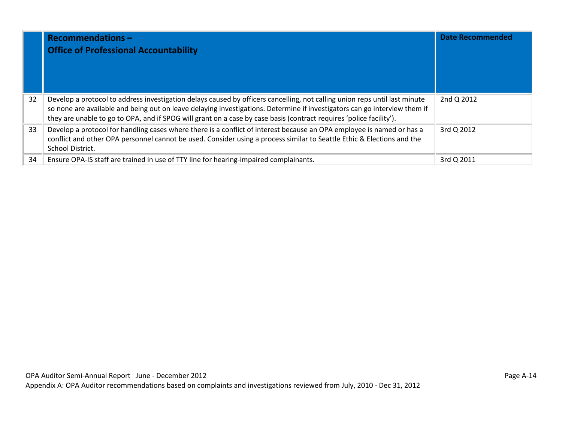|    | <b>Recommendations-</b><br><b>Office of Professional Accountability</b>                                                                                                                                                                                                                                                                                                        | <b>Date Recommended</b> |
|----|--------------------------------------------------------------------------------------------------------------------------------------------------------------------------------------------------------------------------------------------------------------------------------------------------------------------------------------------------------------------------------|-------------------------|
| 32 | Develop a protocol to address investigation delays caused by officers cancelling, not calling union reps until last minute<br>so none are available and being out on leave delaying investigations. Determine if investigators can go interview them if<br>they are unable to go to OPA, and if SPOG will grant on a case by case basis (contract requires 'police facility'). | 2nd Q 2012              |
| 33 | Develop a protocol for handling cases where there is a conflict of interest because an OPA employee is named or has a<br>conflict and other OPA personnel cannot be used. Consider using a process similar to Seattle Ethic & Elections and the<br>School District.                                                                                                            | 3rd Q 2012              |
| 34 | Ensure OPA-IS staff are trained in use of TTY line for hearing-impaired complainants.                                                                                                                                                                                                                                                                                          | 3rd Q 2011              |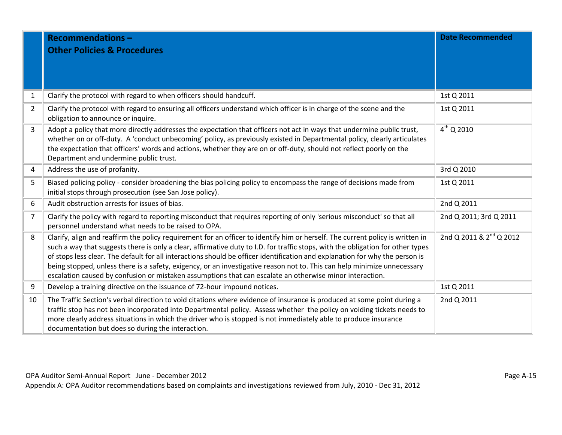|                | <b>Recommendations-</b><br><b>Other Policies &amp; Procedures</b>                                                                                                                                                                                                                                                                                                                                                                                                                                                                                                                                                                         | <b>Date Recommended</b>             |
|----------------|-------------------------------------------------------------------------------------------------------------------------------------------------------------------------------------------------------------------------------------------------------------------------------------------------------------------------------------------------------------------------------------------------------------------------------------------------------------------------------------------------------------------------------------------------------------------------------------------------------------------------------------------|-------------------------------------|
| 1              | Clarify the protocol with regard to when officers should handcuff.                                                                                                                                                                                                                                                                                                                                                                                                                                                                                                                                                                        | 1st Q 2011                          |
| $\overline{2}$ | Clarify the protocol with regard to ensuring all officers understand which officer is in charge of the scene and the<br>obligation to announce or inquire.                                                                                                                                                                                                                                                                                                                                                                                                                                                                                | 1st Q 2011                          |
| $\overline{3}$ | Adopt a policy that more directly addresses the expectation that officers not act in ways that undermine public trust,<br>whether on or off-duty. A 'conduct unbecoming' policy, as previously existed in Departmental policy, clearly articulates<br>the expectation that officers' words and actions, whether they are on or off-duty, should not reflect poorly on the<br>Department and undermine public trust.                                                                                                                                                                                                                       | $4^{th}$ Q 2010                     |
| 4              | Address the use of profanity.                                                                                                                                                                                                                                                                                                                                                                                                                                                                                                                                                                                                             | 3rd Q 2010                          |
| 5              | Biased policing policy - consider broadening the bias policing policy to encompass the range of decisions made from<br>initial stops through prosecution (see San Jose policy).                                                                                                                                                                                                                                                                                                                                                                                                                                                           | 1st Q 2011                          |
| 6              | Audit obstruction arrests for issues of bias.                                                                                                                                                                                                                                                                                                                                                                                                                                                                                                                                                                                             | 2nd Q 2011                          |
| $\overline{7}$ | Clarify the policy with regard to reporting misconduct that requires reporting of only 'serious misconduct' so that all<br>personnel understand what needs to be raised to OPA.                                                                                                                                                                                                                                                                                                                                                                                                                                                           | 2nd Q 2011; 3rd Q 2011              |
| 8              | Clarify, align and reaffirm the policy requirement for an officer to identify him or herself. The current policy is written in<br>such a way that suggests there is only a clear, affirmative duty to I.D. for traffic stops, with the obligation for other types<br>of stops less clear. The default for all interactions should be officer identification and explanation for why the person is<br>being stopped, unless there is a safety, exigency, or an investigative reason not to. This can help minimize unnecessary<br>escalation caused by confusion or mistaken assumptions that can escalate an otherwise minor interaction. | 2nd Q 2011 & 2 <sup>nd</sup> Q 2012 |
| 9              | Develop a training directive on the issuance of 72-hour impound notices.                                                                                                                                                                                                                                                                                                                                                                                                                                                                                                                                                                  | 1st Q 2011                          |
| 10             | The Traffic Section's verbal direction to void citations where evidence of insurance is produced at some point during a<br>traffic stop has not been incorporated into Departmental policy. Assess whether the policy on voiding tickets needs to<br>more clearly address situations in which the driver who is stopped is not immediately able to produce insurance<br>documentation but does so during the interaction.                                                                                                                                                                                                                 | 2nd Q 2011                          |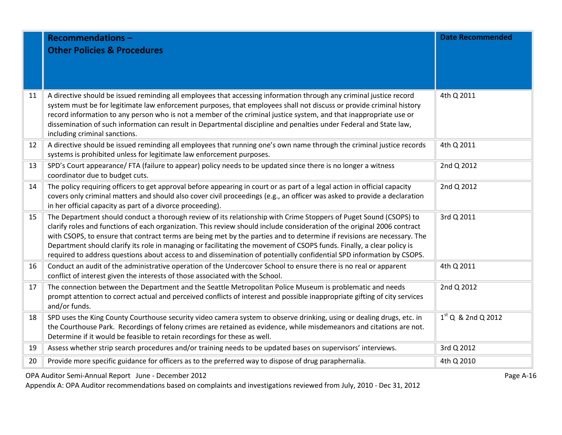|    | <b>Recommendations-</b><br><b>Other Policies &amp; Procedures</b>                                                                                                                                                                                                                                                                                                                                                                                                                                                                                                                                                           | <b>Date Recommended</b> |
|----|-----------------------------------------------------------------------------------------------------------------------------------------------------------------------------------------------------------------------------------------------------------------------------------------------------------------------------------------------------------------------------------------------------------------------------------------------------------------------------------------------------------------------------------------------------------------------------------------------------------------------------|-------------------------|
| 11 | A directive should be issued reminding all employees that accessing information through any criminal justice record<br>system must be for legitimate law enforcement purposes, that employees shall not discuss or provide criminal history<br>record information to any person who is not a member of the criminal justice system, and that inappropriate use or<br>dissemination of such information can result in Departmental discipline and penalties under Federal and State law,<br>including criminal sanctions.                                                                                                    | 4th Q 2011              |
| 12 | A directive should be issued reminding all employees that running one's own name through the criminal justice records<br>systems is prohibited unless for legitimate law enforcement purposes.                                                                                                                                                                                                                                                                                                                                                                                                                              | 4th Q 2011              |
| 13 | SPD's Court appearance/ FTA (failure to appear) policy needs to be updated since there is no longer a witness<br>coordinator due to budget cuts.                                                                                                                                                                                                                                                                                                                                                                                                                                                                            | 2nd Q 2012              |
| 14 | The policy requiring officers to get approval before appearing in court or as part of a legal action in official capacity<br>covers only criminal matters and should also cover civil proceedings (e.g., an officer was asked to provide a declaration<br>in her official capacity as part of a divorce proceeding).                                                                                                                                                                                                                                                                                                        | 2nd Q 2012              |
| 15 | The Department should conduct a thorough review of its relationship with Crime Stoppers of Puget Sound (CSOPS) to<br>clarify roles and functions of each organization. This review should include consideration of the original 2006 contract<br>with CSOPS, to ensure that contract terms are being met by the parties and to determine if revisions are necessary. The<br>Department should clarify its role in managing or facilitating the movement of CSOPS funds. Finally, a clear policy is<br>required to address questions about access to and dissemination of potentially confidential SPD information by CSOPS. | 3rd Q 2011              |
| 16 | Conduct an audit of the administrative operation of the Undercover School to ensure there is no real or apparent<br>conflict of interest given the interests of those associated with the School.                                                                                                                                                                                                                                                                                                                                                                                                                           | 4th Q 2011              |
| 17 | The connection between the Department and the Seattle Metropolitan Police Museum is problematic and needs<br>prompt attention to correct actual and perceived conflicts of interest and possible inappropriate gifting of city services<br>and/or funds.                                                                                                                                                                                                                                                                                                                                                                    | 2nd Q 2012              |
| 18 | SPD uses the King County Courthouse security video camera system to observe drinking, using or dealing drugs, etc. in<br>the Courthouse Park. Recordings of felony crimes are retained as evidence, while misdemeanors and citations are not.<br>Determine if it would be feasible to retain recordings for these as well.                                                                                                                                                                                                                                                                                                  | $1st$ Q & 2nd Q 2012    |
| 19 | Assess whether strip search procedures and/or training needs to be updated bases on supervisors' interviews.                                                                                                                                                                                                                                                                                                                                                                                                                                                                                                                | 3rd Q 2012              |
| 20 | Provide more specific guidance for officers as to the preferred way to dispose of drug paraphernalia.                                                                                                                                                                                                                                                                                                                                                                                                                                                                                                                       | 4th Q 2010              |

OPA Auditor Semi-Annual Report June - December 2012 **Page A-16** and the set of the set of the Page A-16 and the Page A-16